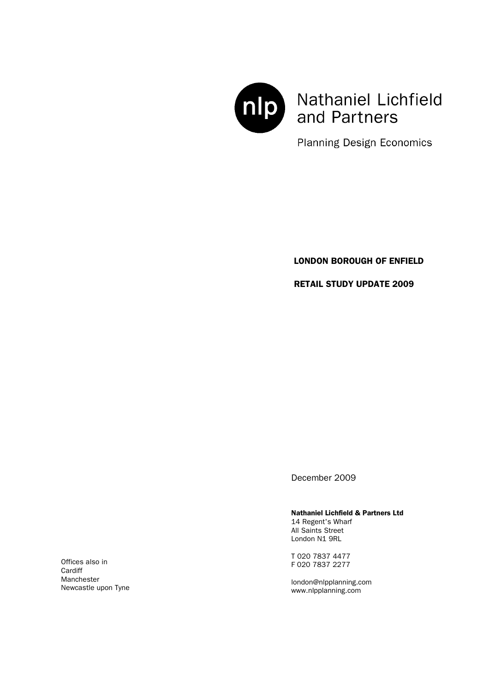

Nathaniel Lichfield and Partners

**Planning Design Economics** 

### LONDON BOROUGH OF ENFIELD

RETAIL STUDY UPDATE 2009

December 2009

#### Nathaniel Lichfield & Partners Ltd

14 Regent's Wharf All Saints Street London N1 9RL

T 020 7837 4477 F 020 7837 2277

london@nlpplanning.com www.nlpplanning.com

Offices also in **Cardiff** Manchester Newcastle upon Tyne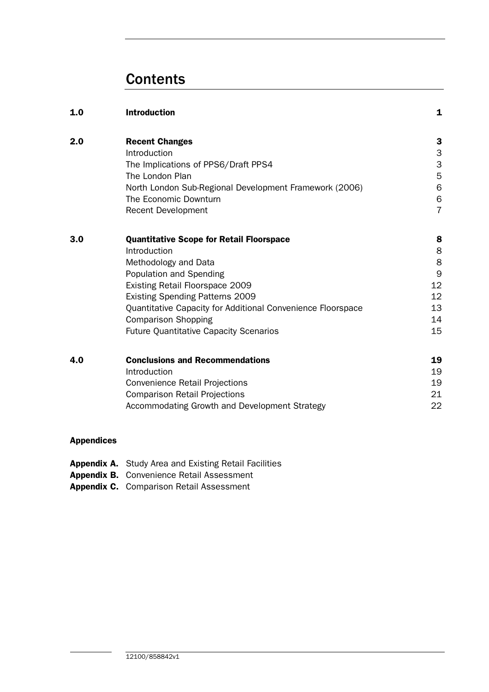# **Contents**

| 1.0 | <b>Introduction</b>                                         | 1              |
|-----|-------------------------------------------------------------|----------------|
| 2.0 | <b>Recent Changes</b>                                       | 3              |
|     | Introduction                                                | 3              |
|     | The Implications of PPS6/Draft PPS4                         | 3              |
|     | The London Plan                                             | 5              |
|     | North London Sub-Regional Development Framework (2006)      | 6              |
|     | The Economic Downturn                                       | 6              |
|     | <b>Recent Development</b>                                   | $\overline{7}$ |
| 3.0 | <b>Quantitative Scope for Retail Floorspace</b>             | 8              |
|     | Introduction                                                | 8              |
|     | Methodology and Data                                        | 8              |
|     | Population and Spending                                     | 9              |
|     | Existing Retail Floorspace 2009                             | 12             |
|     | <b>Existing Spending Patterns 2009</b>                      | 12             |
|     | Quantitative Capacity for Additional Convenience Floorspace | 13             |
|     | <b>Comparison Shopping</b>                                  | 14             |
|     | <b>Future Quantitative Capacity Scenarios</b>               | 15             |
| 4.0 | <b>Conclusions and Recommendations</b>                      | 19             |
|     | Introduction                                                | 19             |
|     | <b>Convenience Retail Projections</b>                       | 19             |
|     | <b>Comparison Retail Projections</b>                        | 21             |
|     | Accommodating Growth and Development Strategy               | 22             |
|     |                                                             |                |

## Appendices

- Appendix A. Study Area and Existing Retail Facilities
- Appendix B. Convenience Retail Assessment
- Appendix C. Comparison Retail Assessment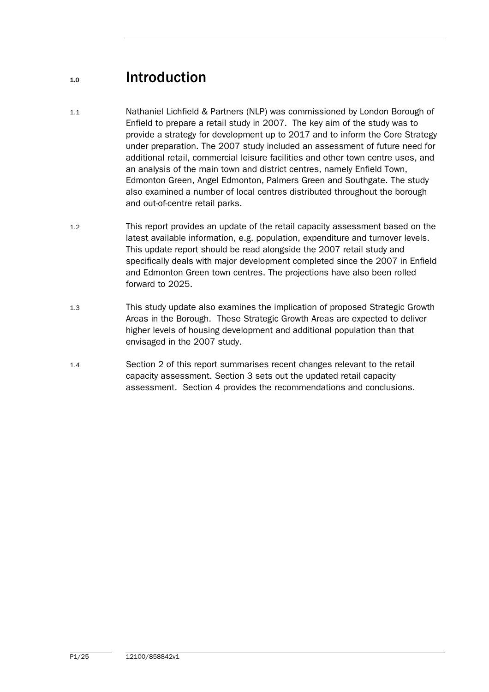# 1.0 Introduction

- 1.1 Nathaniel Lichfield & Partners (NLP) was commissioned by London Borough of Enfield to prepare a retail study in 2007. The key aim of the study was to provide a strategy for development up to 2017 and to inform the Core Strategy under preparation. The 2007 study included an assessment of future need for additional retail, commercial leisure facilities and other town centre uses, and an analysis of the main town and district centres, namely Enfield Town, Edmonton Green, Angel Edmonton, Palmers Green and Southgate. The study also examined a number of local centres distributed throughout the borough and out-of-centre retail parks.
- 1.2 This report provides an update of the retail capacity assessment based on the latest available information, e.g. population, expenditure and turnover levels. This update report should be read alongside the 2007 retail study and specifically deals with major development completed since the 2007 in Enfield and Edmonton Green town centres. The projections have also been rolled forward to 2025.
- 1.3 This study update also examines the implication of proposed Strategic Growth Areas in the Borough. These Strategic Growth Areas are expected to deliver higher levels of housing development and additional population than that envisaged in the 2007 study.
- 1.4 Section 2 of this report summarises recent changes relevant to the retail capacity assessment. Section 3 sets out the updated retail capacity assessment. Section 4 provides the recommendations and conclusions.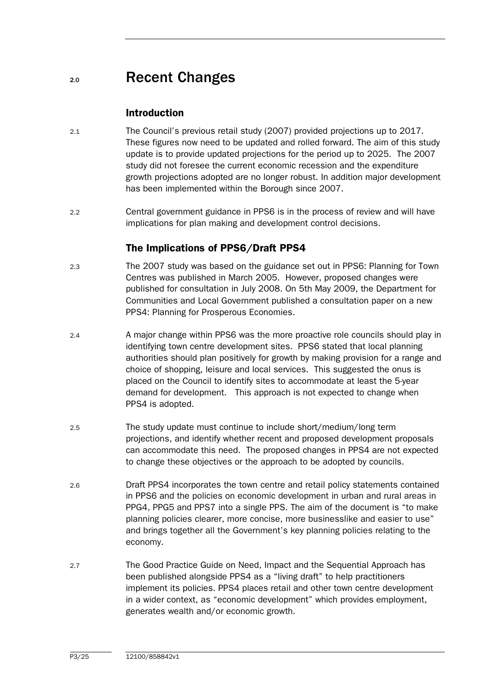## 2.0 Recent Changes

## Introduction

- 2.1 The Council's previous retail study (2007) provided projections up to 2017. These figures now need to be updated and rolled forward. The aim of this study update is to provide updated projections for the period up to 2025. The 2007 study did not foresee the current economic recession and the expenditure growth projections adopted are no longer robust. In addition major development has been implemented within the Borough since 2007.
- 2.2 Central government guidance in PPS6 is in the process of review and will have implications for plan making and development control decisions.

## The Implications of PPS6/Draft PPS4

- 2.3 The 2007 study was based on the guidance set out in PPS6: Planning for Town Centres was published in March 2005. However, proposed changes were published for consultation in July 2008. On 5th May 2009, the Department for Communities and Local Government published a consultation paper on a new PPS4: Planning for Prosperous Economies.
- 2.4 A major change within PPS6 was the more proactive role councils should play in identifying town centre development sites. PPS6 stated that local planning authorities should plan positively for growth by making provision for a range and choice of shopping, leisure and local services. This suggested the onus is placed on the Council to identify sites to accommodate at least the 5-year demand for development. This approach is not expected to change when PPS4 is adopted.
- 2.5 The study update must continue to include short/medium/long term projections, and identify whether recent and proposed development proposals can accommodate this need. The proposed changes in PPS4 are not expected to change these objectives or the approach to be adopted by councils.
- 2.6 Draft PPS4 incorporates the town centre and retail policy statements contained in PPS6 and the policies on economic development in urban and rural areas in PPG4, PPG5 and PPS7 into a single PPS. The aim of the document is "to make planning policies clearer, more concise, more businesslike and easier to use" and brings together all the Government's key planning policies relating to the economy.
- 2.7 The Good Practice Guide on Need, Impact and the Sequential Approach has been published alongside PPS4 as a "living draft" to help practitioners implement its policies. PPS4 places retail and other town centre development in a wider context, as "economic development" which provides employment, generates wealth and/or economic growth.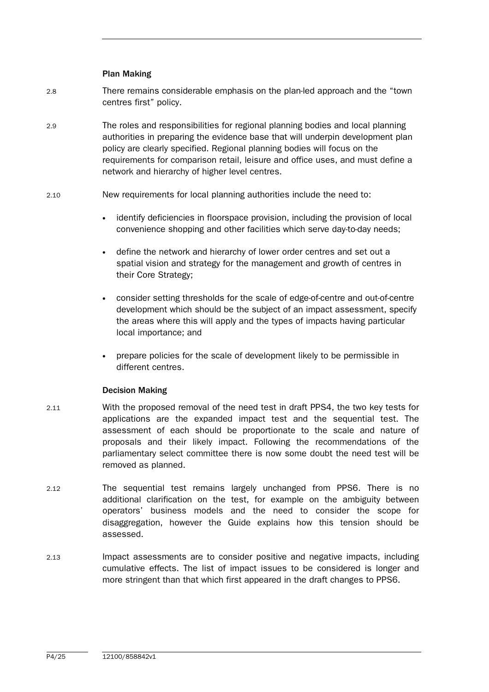#### Plan Making

- 2.8 There remains considerable emphasis on the plan-led approach and the "town centres first" policy.
- 2.9 The roles and responsibilities for regional planning bodies and local planning authorities in preparing the evidence base that will underpin development plan policy are clearly specified. Regional planning bodies will focus on the requirements for comparison retail, leisure and office uses, and must define a network and hierarchy of higher level centres.
- 2.10 New requirements for local planning authorities include the need to:
	- identify deficiencies in floorspace provision, including the provision of local convenience shopping and other facilities which serve day-to-day needs;
	- define the network and hierarchy of lower order centres and set out a spatial vision and strategy for the management and growth of centres in their Core Strategy;
	- consider setting thresholds for the scale of edge-of-centre and out-of-centre development which should be the subject of an impact assessment, specify the areas where this will apply and the types of impacts having particular local importance; and
	- prepare policies for the scale of development likely to be permissible in different centres.

#### Decision Making

- 2.11 With the proposed removal of the need test in draft PPS4, the two key tests for applications are the expanded impact test and the sequential test. The assessment of each should be proportionate to the scale and nature of proposals and their likely impact. Following the recommendations of the parliamentary select committee there is now some doubt the need test will be removed as planned.
- 2.12 The sequential test remains largely unchanged from PPS6. There is no additional clarification on the test, for example on the ambiguity between operators' business models and the need to consider the scope for disaggregation, however the Guide explains how this tension should be assessed.
- 2.13 Impact assessments are to consider positive and negative impacts, including cumulative effects. The list of impact issues to be considered is longer and more stringent than that which first appeared in the draft changes to PPS6.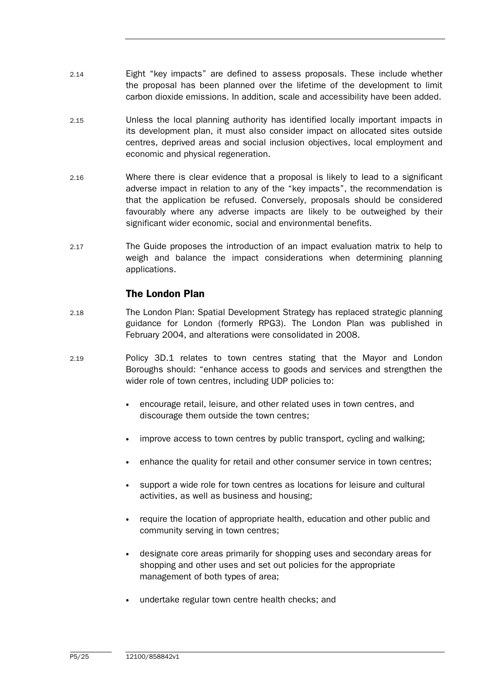- 2.14 Eight "key impacts" are defined to assess proposals. These include whether the proposal has been planned over the lifetime of the development to limit carbon dioxide emissions. In addition, scale and accessibility have been added.
- 2.15 Unless the local planning authority has identified locally important impacts in its development plan, it must also consider impact on allocated sites outside centres, deprived areas and social inclusion objectives, local employment and economic and physical regeneration.
- 2.16 Where there is clear evidence that a proposal is likely to lead to a significant adverse impact in relation to any of the "key impacts", the recommendation is that the application be refused. Conversely, proposals should be considered favourably where any adverse impacts are likely to be outweighed by their significant wider economic, social and environmental benefits.
- 2.17 The Guide proposes the introduction of an impact evaluation matrix to help to weigh and balance the impact considerations when determining planning applications.

## The London Plan

- 2.18 The London Plan: Spatial Development Strategy has replaced strategic planning guidance for London (formerly RPG3). The London Plan was published in February 2004, and alterations were consolidated in 2008.
- 2.19 Policy 3D.1 relates to town centres stating that the Mayor and London Boroughs should: "enhance access to goods and services and strengthen the wider role of town centres, including UDP policies to:
	- encourage retail, leisure, and other related uses in town centres, and discourage them outside the town centres;
	- improve access to town centres by public transport, cycling and walking;
	- enhance the quality for retail and other consumer service in town centres;
	- support a wide role for town centres as locations for leisure and cultural activities, as well as business and housing;
	- require the location of appropriate health, education and other public and community serving in town centres;
	- designate core areas primarily for shopping uses and secondary areas for shopping and other uses and set out policies for the appropriate management of both types of area;
	- undertake regular town centre health checks; and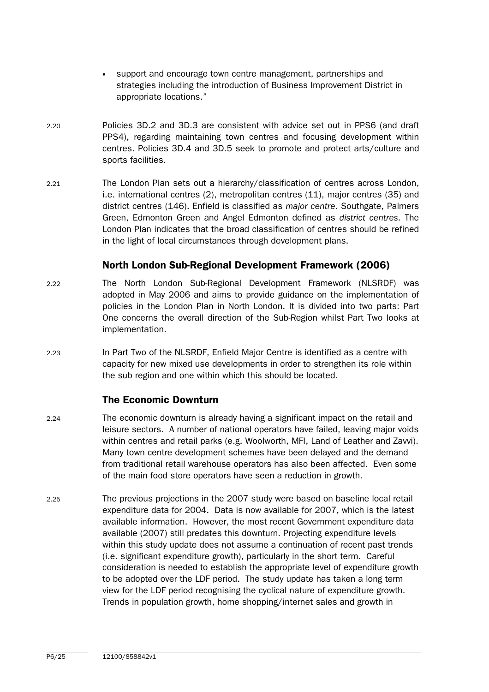- support and encourage town centre management, partnerships and strategies including the introduction of Business Improvement District in appropriate locations."
- 2.20 Policies 3D.2 and 3D.3 are consistent with advice set out in PPS6 (and draft PPS4), regarding maintaining town centres and focusing development within centres. Policies 3D.4 and 3D.5 seek to promote and protect arts/culture and sports facilities.
- 2.21 The London Plan sets out a hierarchy/classification of centres across London, i.e. international centres (2), metropolitan centres (11), major centres (35) and district centres (146). Enfield is classified as major centre. Southgate, Palmers Green, Edmonton Green and Angel Edmonton defined as district centres. The London Plan indicates that the broad classification of centres should be refined in the light of local circumstances through development plans.

### North London Sub-Regional Development Framework (2006)

- 2.22 The North London Sub-Regional Development Framework (NLSRDF) was adopted in May 2006 and aims to provide guidance on the implementation of policies in the London Plan in North London. It is divided into two parts: Part One concerns the overall direction of the Sub-Region whilst Part Two looks at implementation.
- 2.23 In Part Two of the NLSRDF, Enfield Major Centre is identified as a centre with capacity for new mixed use developments in order to strengthen its role within the sub region and one within which this should be located.

### The Economic Downturn

- 2.24 The economic downturn is already having a significant impact on the retail and leisure sectors. A number of national operators have failed, leaving major voids within centres and retail parks (e.g. Woolworth, MFI, Land of Leather and Zavvi). Many town centre development schemes have been delayed and the demand from traditional retail warehouse operators has also been affected. Even some of the main food store operators have seen a reduction in growth.
- 2.25 The previous projections in the 2007 study were based on baseline local retail expenditure data for 2004. Data is now available for 2007, which is the latest available information. However, the most recent Government expenditure data available (2007) still predates this downturn. Projecting expenditure levels within this study update does not assume a continuation of recent past trends (i.e. significant expenditure growth), particularly in the short term. Careful consideration is needed to establish the appropriate level of expenditure growth to be adopted over the LDF period. The study update has taken a long term view for the LDF period recognising the cyclical nature of expenditure growth. Trends in population growth, home shopping/internet sales and growth in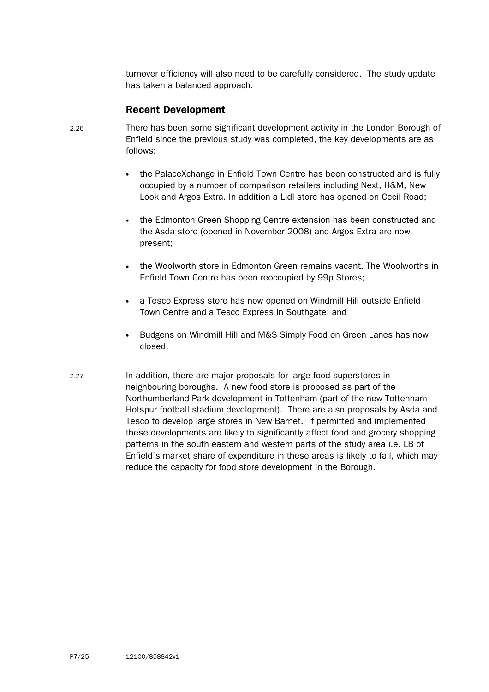turnover efficiency will also need to be carefully considered. The study update has taken a balanced approach.

## Recent Development

- 2.26 There has been some significant development activity in the London Borough of Enfield since the previous study was completed, the key developments are as follows:
	- the PalaceXchange in Enfield Town Centre has been constructed and is fully occupied by a number of comparison retailers including Next, H&M, New Look and Argos Extra. In addition a Lidl store has opened on Cecil Road;
	- the Edmonton Green Shopping Centre extension has been constructed and the Asda store (opened in November 2008) and Argos Extra are now present;
	- the Woolworth store in Edmonton Green remains vacant. The Woolworths in Enfield Town Centre has been reoccupied by 99p Stores;
	- a Tesco Express store has now opened on Windmill Hill outside Enfield Town Centre and a Tesco Express in Southgate; and
	- Budgens on Windmill Hill and M&S Simply Food on Green Lanes has now closed.
- 2.27 In addition, there are major proposals for large food superstores in neighbouring boroughs. A new food store is proposed as part of the Northumberland Park development in Tottenham (part of the new Tottenham Hotspur football stadium development). There are also proposals by Asda and Tesco to develop large stores in New Barnet. If permitted and implemented these developments are likely to significantly affect food and grocery shopping patterns in the south eastern and western parts of the study area i.e. LB of Enfield's market share of expenditure in these areas is likely to fall, which may reduce the capacity for food store development in the Borough.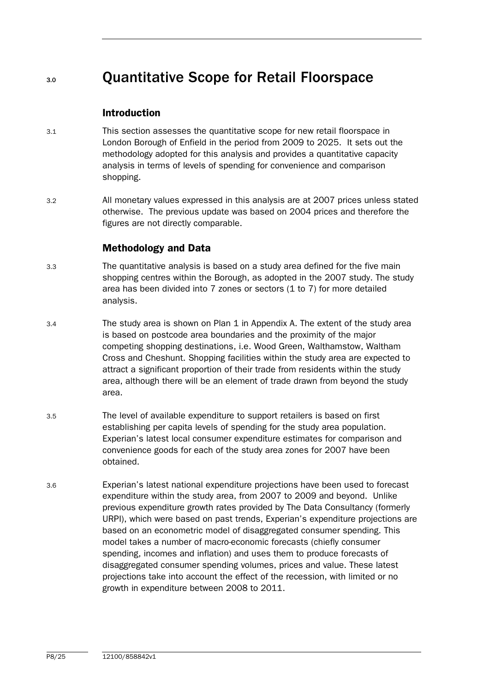# 3.0 Quantitative Scope for Retail Floorspace

### Introduction

- 3.1 This section assesses the quantitative scope for new retail floorspace in London Borough of Enfield in the period from 2009 to 2025. It sets out the methodology adopted for this analysis and provides a quantitative capacity analysis in terms of levels of spending for convenience and comparison shopping.
- 3.2 All monetary values expressed in this analysis are at 2007 prices unless stated otherwise. The previous update was based on 2004 prices and therefore the figures are not directly comparable.

### Methodology and Data

- 3.3 The quantitative analysis is based on a study area defined for the five main shopping centres within the Borough, as adopted in the 2007 study. The study area has been divided into 7 zones or sectors (1 to 7) for more detailed analysis.
- 3.4 The study area is shown on Plan 1 in Appendix A. The extent of the study area is based on postcode area boundaries and the proximity of the major competing shopping destinations, i.e. Wood Green, Walthamstow, Waltham Cross and Cheshunt. Shopping facilities within the study area are expected to attract a significant proportion of their trade from residents within the study area, although there will be an element of trade drawn from beyond the study area.
- 3.5 The level of available expenditure to support retailers is based on first establishing per capita levels of spending for the study area population. Experian's latest local consumer expenditure estimates for comparison and convenience goods for each of the study area zones for 2007 have been obtained.
- 3.6 Experian's latest national expenditure projections have been used to forecast expenditure within the study area, from 2007 to 2009 and beyond. Unlike previous expenditure growth rates provided by The Data Consultancy (formerly URPI), which were based on past trends, Experian's expenditure projections are based on an econometric model of disaggregated consumer spending. This model takes a number of macro-economic forecasts (chiefly consumer spending, incomes and inflation) and uses them to produce forecasts of disaggregated consumer spending volumes, prices and value. These latest projections take into account the effect of the recession, with limited or no growth in expenditure between 2008 to 2011.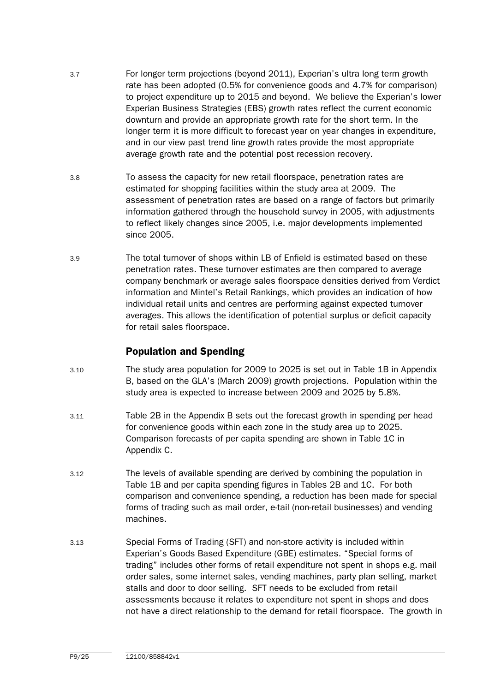- 3.7 For longer term projections (beyond 2011), Experian's ultra long term growth rate has been adopted (0.5% for convenience goods and 4.7% for comparison) to project expenditure up to 2015 and beyond. We believe the Experian's lower Experian Business Strategies (EBS) growth rates reflect the current economic downturn and provide an appropriate growth rate for the short term. In the longer term it is more difficult to forecast year on year changes in expenditure, and in our view past trend line growth rates provide the most appropriate average growth rate and the potential post recession recovery.
- 3.8 To assess the capacity for new retail floorspace, penetration rates are estimated for shopping facilities within the study area at 2009. The assessment of penetration rates are based on a range of factors but primarily information gathered through the household survey in 2005, with adjustments to reflect likely changes since 2005, i.e. major developments implemented since 2005.
- 3.9 The total turnover of shops within LB of Enfield is estimated based on these penetration rates. These turnover estimates are then compared to average company benchmark or average sales floorspace densities derived from Verdict information and Mintel's Retail Rankings, which provides an indication of how individual retail units and centres are performing against expected turnover averages. This allows the identification of potential surplus or deficit capacity for retail sales floorspace.

## Population and Spending

- 3.10 The study area population for 2009 to 2025 is set out in Table 1B in Appendix B, based on the GLA's (March 2009) growth projections. Population within the study area is expected to increase between 2009 and 2025 by 5.8%.
- 3.11 Table 2B in the Appendix B sets out the forecast growth in spending per head for convenience goods within each zone in the study area up to 2025. Comparison forecasts of per capita spending are shown in Table 1C in Appendix C.
- 3.12 The levels of available spending are derived by combining the population in Table 1B and per capita spending figures in Tables 2B and 1C. For both comparison and convenience spending, a reduction has been made for special forms of trading such as mail order, e-tail (non-retail businesses) and vending machines.
- 3.13 Special Forms of Trading (SFT) and non-store activity is included within Experian's Goods Based Expenditure (GBE) estimates. "Special forms of trading" includes other forms of retail expenditure not spent in shops e.g. mail order sales, some internet sales, vending machines, party plan selling, market stalls and door to door selling. SFT needs to be excluded from retail assessments because it relates to expenditure not spent in shops and does not have a direct relationship to the demand for retail floorspace. The growth in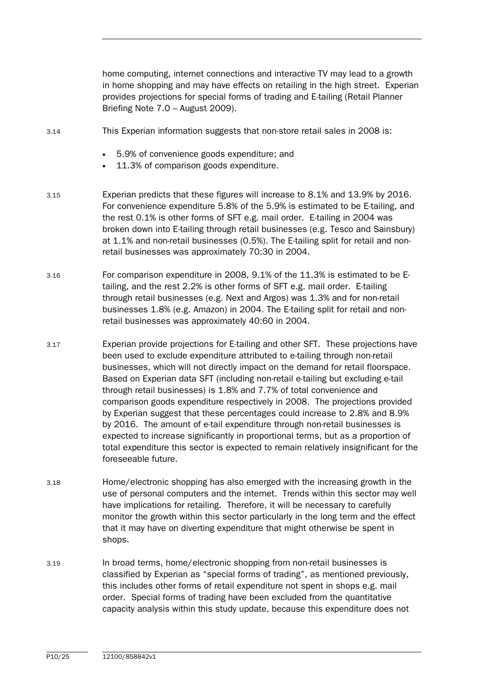home computing, internet connections and interactive TV may lead to a growth in home shopping and may have effects on retailing in the high street. Experian provides projections for special forms of trading and E-tailing (Retail Planner Briefing Note 7.0 – August 2009).

- 3.14 This Experian information suggests that non-store retail sales in 2008 is:
	- 5.9% of convenience goods expenditure; and
	- 11.3% of comparison goods expenditure.
- 3.15 Experian predicts that these figures will increase to 8.1% and 13.9% by 2016. For convenience expenditure 5.8% of the 5.9% is estimated to be E-tailing, and the rest 0.1% is other forms of SFT e.g. mail order. E-tailing in 2004 was broken down into E-tailing through retail businesses (e.g. Tesco and Sainsbury) at 1.1% and non-retail businesses (0.5%). The E-tailing split for retail and nonretail businesses was approximately 70:30 in 2004.
- 3.16 For comparison expenditure in 2008, 9.1% of the 11.3% is estimated to be Etailing, and the rest 2.2% is other forms of SFT e.g. mail order. E-tailing through retail businesses (e.g. Next and Argos) was 1.3% and for non-retail businesses 1.8% (e.g. Amazon) in 2004. The E-tailing split for retail and nonretail businesses was approximately 40:60 in 2004.
- 3.17 Experian provide projections for E-tailing and other SFT. These projections have been used to exclude expenditure attributed to e-tailing through non-retail businesses, which will not directly impact on the demand for retail floorspace. Based on Experian data SFT (including non-retail e-tailing but excluding e-tail through retail businesses) is 1.8% and 7.7% of total convenience and comparison goods expenditure respectively in 2008. The projections provided by Experian suggest that these percentages could increase to 2.8% and 8.9% by 2016. The amount of e-tail expenditure through non-retail businesses is expected to increase significantly in proportional terms, but as a proportion of total expenditure this sector is expected to remain relatively insignificant for the foreseeable future.
- 3.18 Home/electronic shopping has also emerged with the increasing growth in the use of personal computers and the internet. Trends within this sector may well have implications for retailing. Therefore, it will be necessary to carefully monitor the growth within this sector particularly in the long term and the effect that it may have on diverting expenditure that might otherwise be spent in shops.
- 3.19 In broad terms, home/electronic shopping from non-retail businesses is classified by Experian as "special forms of trading", as mentioned previously, this includes other forms of retail expenditure not spent in shops e.g. mail order. Special forms of trading have been excluded from the quantitative capacity analysis within this study update, because this expenditure does not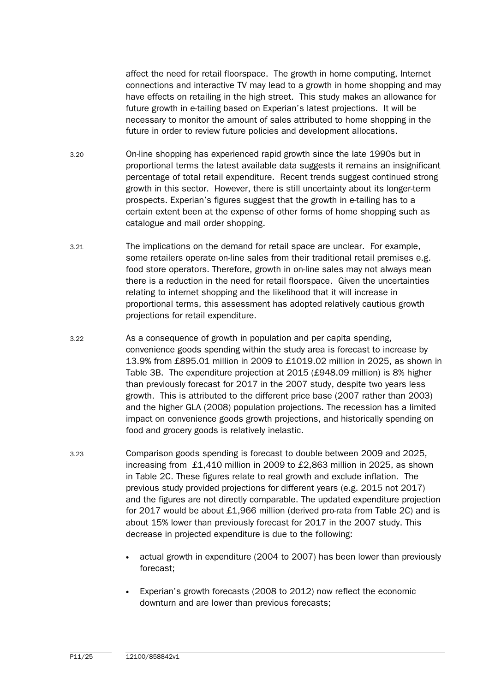affect the need for retail floorspace. The growth in home computing, Internet connections and interactive TV may lead to a growth in home shopping and may have effects on retailing in the high street. This study makes an allowance for future growth in e-tailing based on Experian's latest projections. It will be necessary to monitor the amount of sales attributed to home shopping in the future in order to review future policies and development allocations.

- 3.20 On-line shopping has experienced rapid growth since the late 1990s but in proportional terms the latest available data suggests it remains an insignificant percentage of total retail expenditure. Recent trends suggest continued strong growth in this sector. However, there is still uncertainty about its longer-term prospects. Experian's figures suggest that the growth in e-tailing has to a certain extent been at the expense of other forms of home shopping such as catalogue and mail order shopping.
- 3.21 The implications on the demand for retail space are unclear. For example, some retailers operate on-line sales from their traditional retail premises e.g. food store operators. Therefore, growth in on-line sales may not always mean there is a reduction in the need for retail floorspace. Given the uncertainties relating to internet shopping and the likelihood that it will increase in proportional terms, this assessment has adopted relatively cautious growth projections for retail expenditure.
- 3.22 As a consequence of growth in population and per capita spending, convenience goods spending within the study area is forecast to increase by 13.9% from £895.01 million in 2009 to £1019.02 million in 2025, as shown in Table 3B. The expenditure projection at 2015 (£948.09 million) is 8% higher than previously forecast for 2017 in the 2007 study, despite two years less growth. This is attributed to the different price base (2007 rather than 2003) and the higher GLA (2008) population projections. The recession has a limited impact on convenience goods growth projections, and historically spending on food and grocery goods is relatively inelastic.
- 3.23 Comparison goods spending is forecast to double between 2009 and 2025, increasing from £1,410 million in 2009 to £2,863 million in 2025, as shown in Table 2C. These figures relate to real growth and exclude inflation. The previous study provided projections for different years (e.g. 2015 not 2017) and the figures are not directly comparable. The updated expenditure projection for 2017 would be about £1,966 million (derived pro-rata from Table 2C) and is about 15% lower than previously forecast for 2017 in the 2007 study. This decrease in projected expenditure is due to the following:
	- actual growth in expenditure (2004 to 2007) has been lower than previously forecast;
	- Experian's growth forecasts (2008 to 2012) now reflect the economic downturn and are lower than previous forecasts;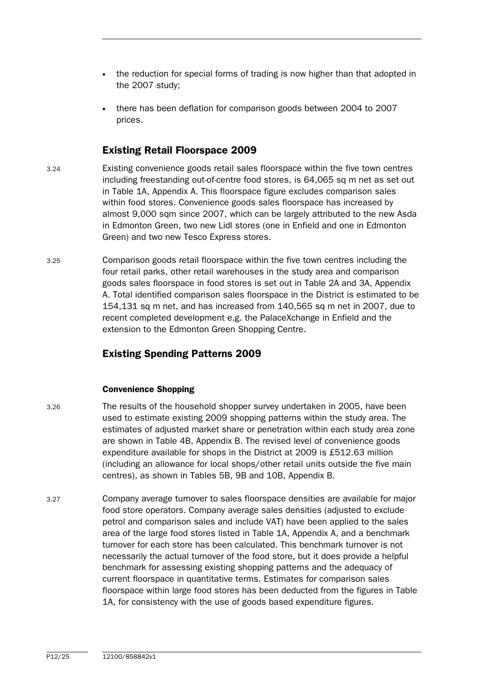- the reduction for special forms of trading is now higher than that adopted in the 2007 study;
- there has been deflation for comparison goods between 2004 to 2007 prices.

### Existing Retail Floorspace 2009

- 3.24 Existing convenience goods retail sales floorspace within the five town centres including freestanding out-of-centre food stores, is 64,065 sq m net as set out in Table 1A, Appendix A. This floorspace figure excludes comparison sales within food stores. Convenience goods sales floorspace has increased by almost 9,000 sqm since 2007, which can be largely attributed to the new Asda in Edmonton Green, two new Lidl stores (one in Enfield and one in Edmonton Green) and two new Tesco Express stores.
- 3.25 Comparison goods retail floorspace within the five town centres including the four retail parks, other retail warehouses in the study area and comparison goods sales floorspace in food stores is set out in Table 2A and 3A, Appendix A. Total identified comparison sales floorspace in the District is estimated to be 154,131 sq m net, and has increased from 140,565 sq m net in 2007, due to recent completed development e.g. the PalaceXchange in Enfield and the extension to the Edmonton Green Shopping Centre.

## Existing Spending Patterns 2009

#### Convenience Shopping

- 3.26 The results of the household shopper survey undertaken in 2005, have been used to estimate existing 2009 shopping patterns within the study area. The estimates of adjusted market share or penetration within each study area zone are shown in Table 4B, Appendix B. The revised level of convenience goods expenditure available for shops in the District at 2009 is £512.63 million (including an allowance for local shops/other retail units outside the five main centres), as shown in Tables 5B, 9B and 10B, Appendix B.
- 3.27 Company average turnover to sales floorspace densities are available for major food store operators. Company average sales densities (adjusted to exclude petrol and comparison sales and include VAT) have been applied to the sales area of the large food stores listed in Table 1A, Appendix A, and a benchmark turnover for each store has been calculated. This benchmark turnover is not necessarily the actual turnover of the food store, but it does provide a helpful benchmark for assessing existing shopping patterns and the adequacy of current floorspace in quantitative terms. Estimates for comparison sales floorspace within large food stores has been deducted from the figures in Table 1A, for consistency with the use of goods based expenditure figures.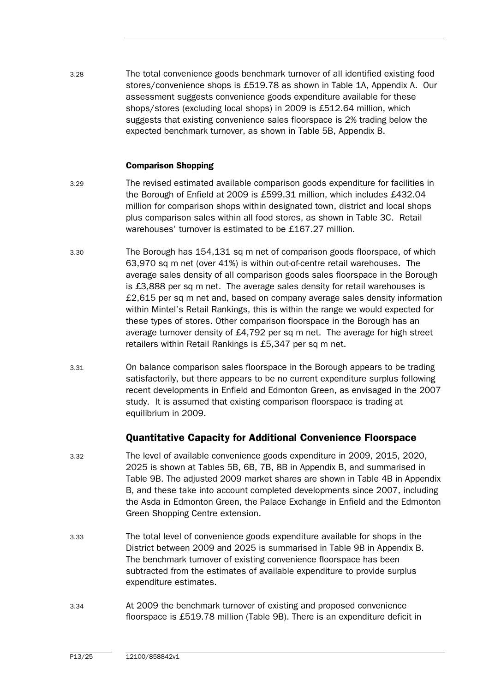3.28 The total convenience goods benchmark turnover of all identified existing food stores/convenience shops is £519.78 as shown in Table 1A, Appendix A. Our assessment suggests convenience goods expenditure available for these shops/stores (excluding local shops) in 2009 is £512.64 million, which suggests that existing convenience sales floorspace is 2% trading below the expected benchmark turnover, as shown in Table 5B, Appendix B.

#### Comparison Shopping

- 3.29 The revised estimated available comparison goods expenditure for facilities in the Borough of Enfield at 2009 is £599.31 million, which includes £432.04 million for comparison shops within designated town, district and local shops plus comparison sales within all food stores, as shown in Table 3C. Retail warehouses' turnover is estimated to be £167.27 million.
- 3.30 The Borough has 154,131 sq m net of comparison goods floorspace, of which 63,970 sq m net (over 41%) is within out-of-centre retail warehouses. The average sales density of all comparison goods sales floorspace in the Borough is £3,888 per sq m net. The average sales density for retail warehouses is £2,615 per sq m net and, based on company average sales density information within Mintel's Retail Rankings, this is within the range we would expected for these types of stores. Other comparison floorspace in the Borough has an average turnover density of £4,792 per sq m net. The average for high street retailers within Retail Rankings is £5,347 per sq m net.
- 3.31 On balance comparison sales floorspace in the Borough appears to be trading satisfactorily, but there appears to be no current expenditure surplus following recent developments in Enfield and Edmonton Green, as envisaged in the 2007 study. It is assumed that existing comparison floorspace is trading at equilibrium in 2009.

### Quantitative Capacity for Additional Convenience Floorspace

- 3.32 The level of available convenience goods expenditure in 2009, 2015, 2020, 2025 is shown at Tables 5B, 6B, 7B, 8B in Appendix B, and summarised in Table 9B. The adjusted 2009 market shares are shown in Table 4B in Appendix B, and these take into account completed developments since 2007, including the Asda in Edmonton Green, the Palace Exchange in Enfield and the Edmonton Green Shopping Centre extension.
- 3.33 The total level of convenience goods expenditure available for shops in the District between 2009 and 2025 is summarised in Table 9B in Appendix B. The benchmark turnover of existing convenience floorspace has been subtracted from the estimates of available expenditure to provide surplus expenditure estimates.
- 3.34 At 2009 the benchmark turnover of existing and proposed convenience floorspace is £519.78 million (Table 9B). There is an expenditure deficit in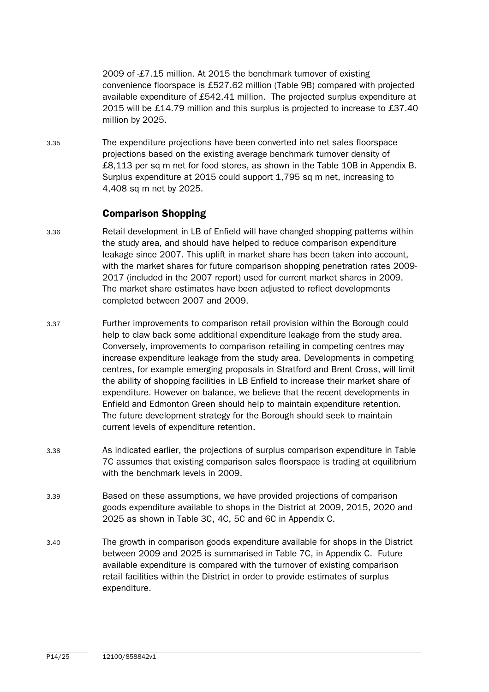2009 of -£7.15 million. At 2015 the benchmark turnover of existing convenience floorspace is £527.62 million (Table 9B) compared with projected available expenditure of £542.41 million. The projected surplus expenditure at 2015 will be £14.79 million and this surplus is projected to increase to £37.40 million by 2025.

3.35 The expenditure projections have been converted into net sales floorspace projections based on the existing average benchmark turnover density of £8,113 per sq m net for food stores, as shown in the Table 10B in Appendix B. Surplus expenditure at 2015 could support 1,795 sq m net, increasing to 4,408 sq m net by 2025.

## Comparison Shopping

- 3.36 Retail development in LB of Enfield will have changed shopping patterns within the study area, and should have helped to reduce comparison expenditure leakage since 2007. This uplift in market share has been taken into account, with the market shares for future comparison shopping penetration rates 2009- 2017 (included in the 2007 report) used for current market shares in 2009. The market share estimates have been adjusted to reflect developments completed between 2007 and 2009.
- 3.37 Further improvements to comparison retail provision within the Borough could help to claw back some additional expenditure leakage from the study area. Conversely, improvements to comparison retailing in competing centres may increase expenditure leakage from the study area. Developments in competing centres, for example emerging proposals in Stratford and Brent Cross, will limit the ability of shopping facilities in LB Enfield to increase their market share of expenditure. However on balance, we believe that the recent developments in Enfield and Edmonton Green should help to maintain expenditure retention. The future development strategy for the Borough should seek to maintain current levels of expenditure retention.
- 3.38 As indicated earlier, the projections of surplus comparison expenditure in Table 7C assumes that existing comparison sales floorspace is trading at equilibrium with the benchmark levels in 2009.
- 3.39 Based on these assumptions, we have provided projections of comparison goods expenditure available to shops in the District at 2009, 2015, 2020 and 2025 as shown in Table 3C, 4C, 5C and 6C in Appendix C.
- 3.40 The growth in comparison goods expenditure available for shops in the District between 2009 and 2025 is summarised in Table 7C, in Appendix C. Future available expenditure is compared with the turnover of existing comparison retail facilities within the District in order to provide estimates of surplus expenditure.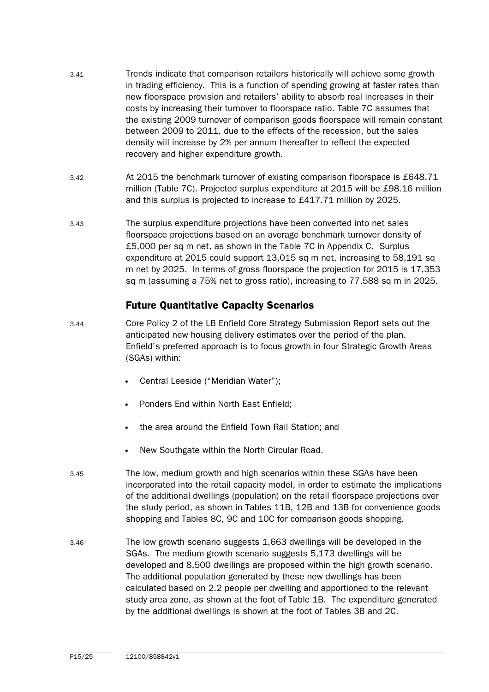| 3.41 | Trends indicate that comparison retailers historically will achieve some growth<br>in trading efficiency. This is a function of spending growing at faster rates than<br>new floorspace provision and retailers' ability to absorb real increases in their<br>costs by increasing their turnover to floorspace ratio. Table 7C assumes that |
|------|---------------------------------------------------------------------------------------------------------------------------------------------------------------------------------------------------------------------------------------------------------------------------------------------------------------------------------------------|
|      | the existing 2009 turnover of comparison goods floorspace will remain constant<br>between 2009 to 2011, due to the effects of the recession, but the sales<br>density will increase by 2% per annum thereafter to reflect the expected<br>recovery and higher expenditure growth.                                                           |

- 3.42 At 2015 the benchmark turnover of existing comparison floorspace is £648.71 million (Table 7C). Projected surplus expenditure at 2015 will be £98.16 million and this surplus is projected to increase to £417.71 million by 2025.
- 3.43 The surplus expenditure projections have been converted into net sales floorspace projections based on an average benchmark turnover density of £5,000 per sq m net, as shown in the Table 7C in Appendix C. Surplus expenditure at 2015 could support 13,015 sq m net, increasing to 58,191 sq m net by 2025. In terms of gross floorspace the projection for 2015 is 17,353 sq m (assuming a 75% net to gross ratio), increasing to 77,588 sq m in 2025.

## Future Quantitative Capacity Scenarios

- 3.44 Core Policy 2 of the LB Enfield Core Strategy Submission Report sets out the anticipated new housing delivery estimates over the period of the plan. Enfield's preferred approach is to focus growth in four Strategic Growth Areas (SGAs) within:
	- Central Leeside ("Meridian Water");
	- Ponders End within North East Enfield;
	- the area around the Enfield Town Rail Station; and
	- New Southgate within the North Circular Road.
- 3.45 The low, medium growth and high scenarios within these SGAs have been incorporated into the retail capacity model, in order to estimate the implications of the additional dwellings (population) on the retail floorspace projections over the study period, as shown in Tables 11B, 12B and 13B for convenience goods shopping and Tables 8C, 9C and 10C for comparison goods shopping.
- 3.46 The low growth scenario suggests 1,663 dwellings will be developed in the SGAs. The medium growth scenario suggests 5,173 dwellings will be developed and 8,500 dwellings are proposed within the high growth scenario. The additional population generated by these new dwellings has been calculated based on 2.2 people per dwelling and apportioned to the relevant study area zone, as shown at the foot of Table 1B. The expenditure generated by the additional dwellings is shown at the foot of Tables 3B and 2C.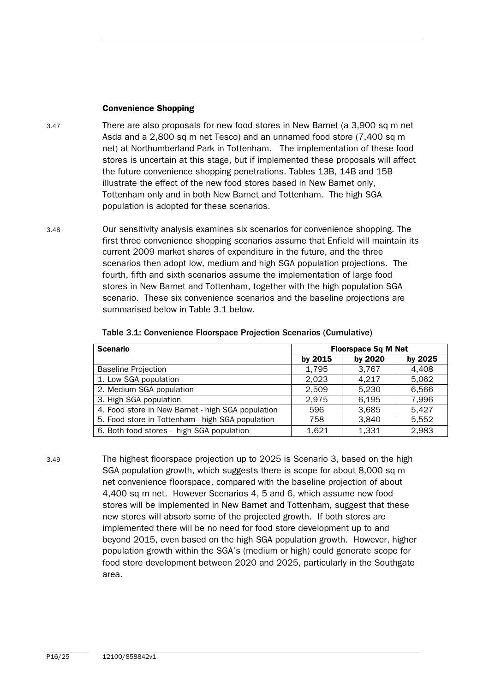#### Convenience Shopping

- 3.47 There are also proposals for new food stores in New Barnet (a 3,900 sq m net Asda and a 2,800 sq m net Tesco) and an unnamed food store (7,400 sq m net) at Northumberland Park in Tottenham. The implementation of these food stores is uncertain at this stage, but if implemented these proposals will affect the future convenience shopping penetrations. Tables 13B, 14B and 15B illustrate the effect of the new food stores based in New Barnet only, Tottenham only and in both New Barnet and Tottenham. The high SGA population is adopted for these scenarios.
- 3.48 Our sensitivity analysis examines six scenarios for convenience shopping. The first three convenience shopping scenarios assume that Enfield will maintain its current 2009 market shares of expenditure in the future, and the three scenarios then adopt low, medium and high SGA population projections. The fourth, fifth and sixth scenarios assume the implementation of large food stores in New Barnet and Tottenham, together with the high population SGA scenario. These six convenience scenarios and the baseline projections are summarised below in Table 3.1 below.

| <b>Scenario</b>                                   |          | <b>Floorspace Sq M Net</b> |         |
|---------------------------------------------------|----------|----------------------------|---------|
|                                                   | by 2015  | by 2020                    | by 2025 |
| <b>Baseline Projection</b>                        | 1,795    | 3,767                      | 4,408   |
| 1. Low SGA population                             | 2.023    | 4,217                      | 5,062   |
| 2. Medium SGA population                          | 2.509    | 5,230                      | 6,566   |
| 3. High SGA population                            | 2,975    | 6,195                      | 7,996   |
| 4. Food store in New Barnet - high SGA population | 596      | 3,685                      | 5,427   |
| 5. Food store in Tottenham - high SGA population  | 758      | 3.840                      | 5,552   |
| 6. Both food stores - high SGA population         | $-1,621$ | 1,331                      | 2,983   |

| Table 3.1: Convenience Floorspace Projection Scenarios (Cumulative) |  |
|---------------------------------------------------------------------|--|
|---------------------------------------------------------------------|--|

3.49 The highest floorspace projection up to 2025 is Scenario 3, based on the high SGA population growth, which suggests there is scope for about 8,000 sq m net convenience floorspace, compared with the baseline projection of about 4,400 sq m net. However Scenarios 4, 5 and 6, which assume new food stores will be implemented in New Barnet and Tottenham, suggest that these new stores will absorb some of the projected growth. If both stores are implemented there will be no need for food store development up to and beyond 2015, even based on the high SGA population growth. However, higher population growth within the SGA's (medium or high) could generate scope for food store development between 2020 and 2025, particularly in the Southgate area.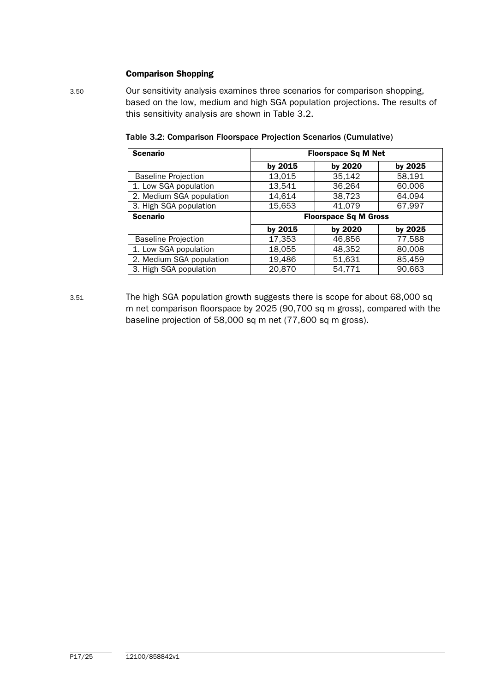#### Comparison Shopping

3.50 Our sensitivity analysis examines three scenarios for comparison shopping, based on the low, medium and high SGA population projections. The results of this sensitivity analysis are shown in Table 3.2.

| <b>Scenario</b>            |         | <b>Floorspace Sq M Net</b>   |         |
|----------------------------|---------|------------------------------|---------|
|                            | by 2015 | by 2020                      | by 2025 |
| <b>Baseline Projection</b> | 13,015  | 35,142                       | 58,191  |
| 1. Low SGA population      | 13,541  | 36,264                       | 60,006  |
| 2. Medium SGA population   | 14,614  | 38,723                       | 64,094  |
| 3. High SGA population     | 15,653  | 41,079                       | 67,997  |
| <b>Scenario</b>            |         | <b>Floorspace Sq M Gross</b> |         |
|                            | by 2015 | by 2020                      | by 2025 |
| <b>Baseline Projection</b> | 17,353  | 46,856                       | 77,588  |
| 1. Low SGA population      | 18,055  | 48,352                       | 80,008  |
| 2. Medium SGA population   | 19,486  | 51,631                       | 85,459  |
| 3. High SGA population     | 20,870  | 54,771                       | 90.663  |

Table 3.2: Comparison Floorspace Projection Scenarios (Cumulative)

3.51 The high SGA population growth suggests there is scope for about 68,000 sq m net comparison floorspace by 2025 (90,700 sq m gross), compared with the baseline projection of 58,000 sq m net (77,600 sq m gross).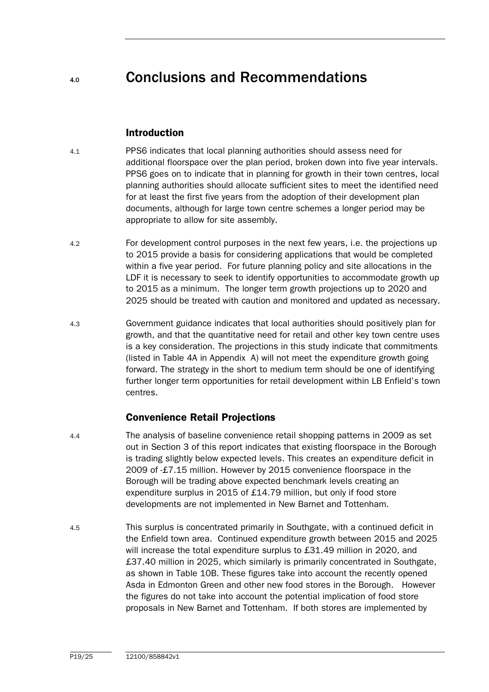# 4.0 Conclusions and Recommendations

### Introduction

- 4.1 PPS6 indicates that local planning authorities should assess need for additional floorspace over the plan period, broken down into five year intervals. PPS6 goes on to indicate that in planning for growth in their town centres, local planning authorities should allocate sufficient sites to meet the identified need for at least the first five years from the adoption of their development plan documents, although for large town centre schemes a longer period may be appropriate to allow for site assembly.
- 4.2 For development control purposes in the next few years, i.e. the projections up to 2015 provide a basis for considering applications that would be completed within a five year period. For future planning policy and site allocations in the LDF it is necessary to seek to identify opportunities to accommodate growth up to 2015 as a minimum. The longer term growth projections up to 2020 and 2025 should be treated with caution and monitored and updated as necessary.
- 4.3 Government guidance indicates that local authorities should positively plan for growth, and that the quantitative need for retail and other key town centre uses is a key consideration. The projections in this study indicate that commitments (listed in Table 4A in Appendix A) will not meet the expenditure growth going forward. The strategy in the short to medium term should be one of identifying further longer term opportunities for retail development within LB Enfield's town centres.

## Convenience Retail Projections

- 4.4 The analysis of baseline convenience retail shopping patterns in 2009 as set out in Section 3 of this report indicates that existing floorspace in the Borough is trading slightly below expected levels. This creates an expenditure deficit in 2009 of -£7.15 million. However by 2015 convenience floorspace in the Borough will be trading above expected benchmark levels creating an expenditure surplus in 2015 of £14.79 million, but only if food store developments are not implemented in New Barnet and Tottenham.
- 4.5 This surplus is concentrated primarily in Southgate, with a continued deficit in the Enfield town area. Continued expenditure growth between 2015 and 2025 will increase the total expenditure surplus to £31.49 million in 2020, and £37.40 million in 2025, which similarly is primarily concentrated in Southgate, as shown in Table 10B. These figures take into account the recently opened Asda in Edmonton Green and other new food stores in the Borough. However the figures do not take into account the potential implication of food store proposals in New Barnet and Tottenham. If both stores are implemented by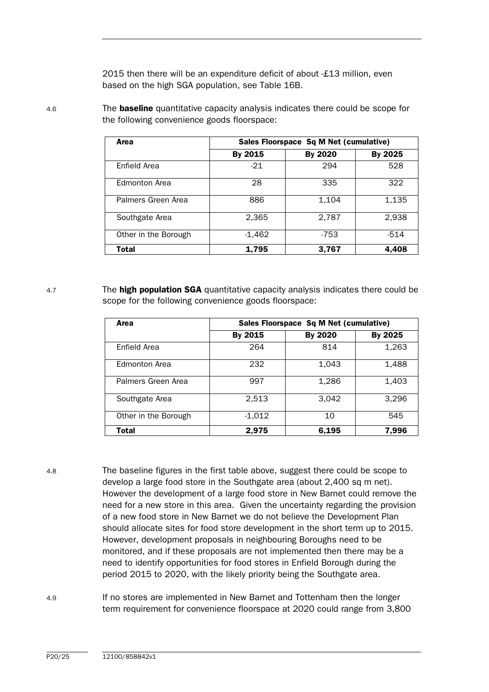2015 then there will be an expenditure deficit of about -£13 million, even based on the high SGA population, see Table 16B.

Area Sales Floorspace Sq M Net (cumulative) By 2015 By 2020 By 2025 Enfield Area **-21** | 294 | 528 Edmonton Area 1 28 335 1 322 Palmers Green Area  $\vert$  886 1,104 1,135 Southgate Area 1 2,365 2,787 2,938 Other in the Borough discovery and the Borough discovery and the set of the set of the set of the set of the s

Total | 1,795 | 3,767 | 4,408

4.6 The **baseline** quantitative capacity analysis indicates there could be scope for the following convenience goods floorspace:

4.7 The **high population SGA** quantitative capacity analysis indicates there could be scope for the following convenience goods floorspace:

| Area                 |          | Sales Floorspace Sq M Net (cumulative) |         |
|----------------------|----------|----------------------------------------|---------|
|                      | By 2015  | By 2020                                | By 2025 |
| Enfield Area         | 264      | 814                                    | 1,263   |
| Edmonton Area        | 232      | 1,043                                  | 1,488   |
| Palmers Green Area   | 997      | 1,286                                  | 1,403   |
| Southgate Area       | 2,513    | 3,042                                  | 3,296   |
| Other in the Borough | $-1,012$ | 10                                     | 545     |
| <b>Total</b>         | 2.975    | 6,195                                  | 7,996   |

4.8 The baseline figures in the first table above, suggest there could be scope to develop a large food store in the Southgate area (about 2,400 sq m net). However the development of a large food store in New Barnet could remove the need for a new store in this area. Given the uncertainty regarding the provision of a new food store in New Barnet we do not believe the Development Plan should allocate sites for food store development in the short term up to 2015. However, development proposals in neighbouring Boroughs need to be monitored, and if these proposals are not implemented then there may be a need to identify opportunities for food stores in Enfield Borough during the period 2015 to 2020, with the likely priority being the Southgate area.

4.9 If no stores are implemented in New Barnet and Tottenham then the longer term requirement for convenience floorspace at 2020 could range from 3,800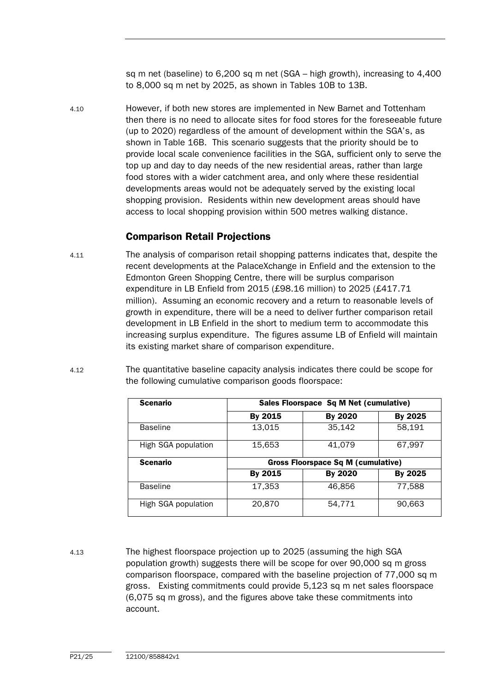sq m net (baseline) to 6,200 sq m net (SGA – high growth), increasing to 4,400 to 8,000 sq m net by 2025, as shown in Tables 10B to 13B.

4.10 However, if both new stores are implemented in New Barnet and Tottenham then there is no need to allocate sites for food stores for the foreseeable future (up to 2020) regardless of the amount of development within the SGA's, as shown in Table 16B. This scenario suggests that the priority should be to provide local scale convenience facilities in the SGA, sufficient only to serve the top up and day to day needs of the new residential areas, rather than large food stores with a wider catchment area, and only where these residential developments areas would not be adequately served by the existing local shopping provision. Residents within new development areas should have access to local shopping provision within 500 metres walking distance.

## Comparison Retail Projections

- 4.11 The analysis of comparison retail shopping patterns indicates that, despite the recent developments at the PalaceXchange in Enfield and the extension to the Edmonton Green Shopping Centre, there will be surplus comparison expenditure in LB Enfield from 2015 (£98.16 million) to 2025 (£417.71 million). Assuming an economic recovery and a return to reasonable levels of growth in expenditure, there will be a need to deliver further comparison retail development in LB Enfield in the short to medium term to accommodate this increasing surplus expenditure. The figures assume LB of Enfield will maintain its existing market share of comparison expenditure.
- 4.12 The quantitative baseline capacity analysis indicates there could be scope for the following cumulative comparison goods floorspace:

| <b>Scenario</b>     |         | Sales Floorspace Sq M Net (cumulative)    |         |
|---------------------|---------|-------------------------------------------|---------|
|                     | By 2015 | By 2020                                   | By 2025 |
| <b>Baseline</b>     | 13,015  | 35,142                                    | 58,191  |
| High SGA population | 15,653  | 41,079                                    | 67,997  |
| <b>Scenario</b>     |         | <b>Gross Floorspace Sq M (cumulative)</b> |         |
|                     | By 2015 | By 2020                                   | By 2025 |
| <b>Baseline</b>     | 17,353  | 46.856                                    | 77,588  |
| High SGA population | 20,870  | 54,771                                    | 90,663  |

4.13 The highest floorspace projection up to 2025 (assuming the high SGA population growth) suggests there will be scope for over 90,000 sq m gross comparison floorspace, compared with the baseline projection of 77,000 sq m gross. Existing commitments could provide 5,123 sq m net sales floorspace (6,075 sq m gross), and the figures above take these commitments into account.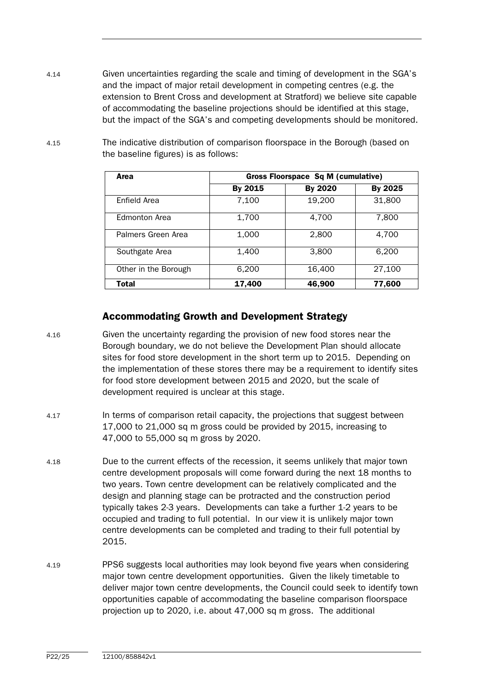- 4.14 Given uncertainties regarding the scale and timing of development in the SGA's and the impact of major retail development in competing centres (e.g. the extension to Brent Cross and development at Stratford) we believe site capable of accommodating the baseline projections should be identified at this stage, but the impact of the SGA's and competing developments should be monitored.
- 4.15 The indicative distribution of comparison floorspace in the Borough (based on the baseline figures) is as follows:

| Area                 |         | <b>Gross Floorspace Sq M (cumulative)</b> |         |
|----------------------|---------|-------------------------------------------|---------|
|                      | By 2015 | By 2020                                   | By 2025 |
| Enfield Area         | 7,100   | 19,200                                    | 31,800  |
| <b>Edmonton Area</b> | 1,700   | 4,700                                     | 7,800   |
| Palmers Green Area   | 1,000   | 2,800                                     | 4,700   |
| Southgate Area       | 1,400   | 3.800                                     | 6.200   |
| Other in the Borough | 6,200   | 16,400                                    | 27,100  |
| <b>Total</b>         | 17,400  | 46,900                                    | 77,600  |

## Accommodating Growth and Development Strategy

- 4.16 Given the uncertainty regarding the provision of new food stores near the Borough boundary, we do not believe the Development Plan should allocate sites for food store development in the short term up to 2015. Depending on the implementation of these stores there may be a requirement to identify sites for food store development between 2015 and 2020, but the scale of development required is unclear at this stage.
- 4.17 In terms of comparison retail capacity, the projections that suggest between 17,000 to 21,000 sq m gross could be provided by 2015, increasing to 47,000 to 55,000 sq m gross by 2020.
- 4.18 Due to the current effects of the recession, it seems unlikely that major town centre development proposals will come forward during the next 18 months to two years. Town centre development can be relatively complicated and the design and planning stage can be protracted and the construction period typically takes 2-3 years. Developments can take a further 1-2 years to be occupied and trading to full potential. In our view it is unlikely major town centre developments can be completed and trading to their full potential by 2015.
- 4.19 PPS6 suggests local authorities may look beyond five years when considering major town centre development opportunities. Given the likely timetable to deliver major town centre developments, the Council could seek to identify town opportunities capable of accommodating the baseline comparison floorspace projection up to 2020, i.e. about 47,000 sq m gross. The additional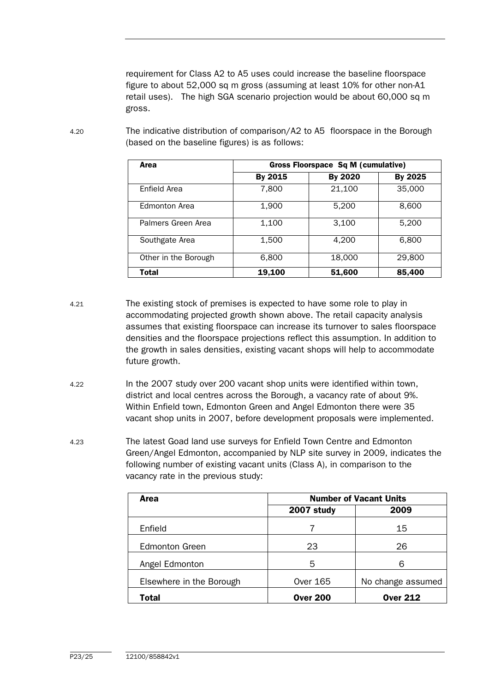requirement for Class A2 to A5 uses could increase the baseline floorspace figure to about 52,000 sq m gross (assuming at least 10% for other non-A1 retail uses). The high SGA scenario projection would be about 60,000 sq m gross.

| Area                 |         | <b>Gross Floorspace Sq M (cumulative)</b> |         |
|----------------------|---------|-------------------------------------------|---------|
|                      | By 2015 | By 2020                                   | By 2025 |
| Enfield Area         | 7,800   | 21,100                                    | 35,000  |
| <b>Fdmonton Area</b> | 1,900   | 5.200                                     | 8,600   |
| Palmers Green Area   | 1,100   | 3,100                                     | 5,200   |
| Southgate Area       | 1,500   | 4.200                                     | 6,800   |
| Other in the Borough | 6,800   | 18,000                                    | 29,800  |
| Total                | 19,100  | 51,600                                    | 85,400  |

4.20 The indicative distribution of comparison/A2 to A5 floorspace in the Borough (based on the baseline figures) is as follows:

4.21 The existing stock of premises is expected to have some role to play in accommodating projected growth shown above. The retail capacity analysis assumes that existing floorspace can increase its turnover to sales floorspace densities and the floorspace projections reflect this assumption. In addition to the growth in sales densities, existing vacant shops will help to accommodate future growth.

- 4.22 In the 2007 study over 200 vacant shop units were identified within town, district and local centres across the Borough, a vacancy rate of about 9%. Within Enfield town, Edmonton Green and Angel Edmonton there were 35 vacant shop units in 2007, before development proposals were implemented.
- 4.23 The latest Goad land use surveys for Enfield Town Centre and Edmonton Green/Angel Edmonton, accompanied by NLP site survey in 2009, indicates the following number of existing vacant units (Class A), in comparison to the vacancy rate in the previous study:

| <b>Area</b>              |                 | <b>Number of Vacant Units</b> |
|--------------------------|-----------------|-------------------------------|
|                          | 2007 study      | 2009                          |
| Enfield                  |                 | 15                            |
| <b>Edmonton Green</b>    | 23              | 26                            |
| Angel Edmonton           | 5               | 6                             |
| Elsewhere in the Borough | <b>Over 165</b> | No change assumed             |
| <b>Total</b>             | <b>Over 200</b> | <b>Over 212</b>               |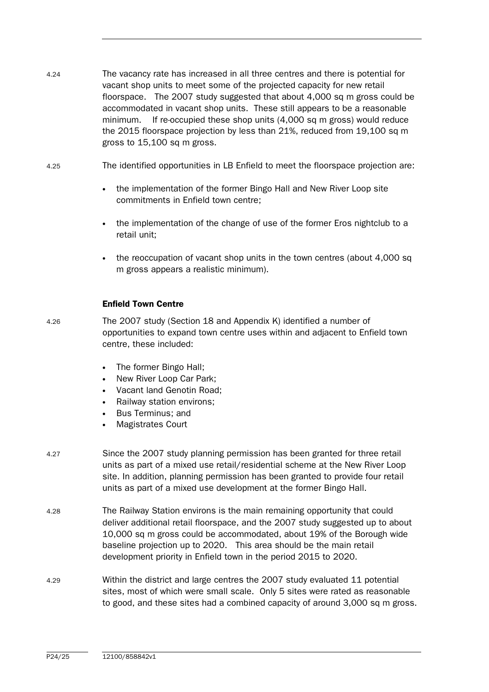- 4.24 The vacancy rate has increased in all three centres and there is potential for vacant shop units to meet some of the projected capacity for new retail floorspace. The 2007 study suggested that about 4,000 sq m gross could be accommodated in vacant shop units. These still appears to be a reasonable minimum. If re-occupied these shop units (4,000 sq m gross) would reduce the 2015 floorspace projection by less than 21%, reduced from 19,100 sq m gross to 15,100 sq m gross.
- 4.25 The identified opportunities in LB Enfield to meet the floorspace projection are:
	- the implementation of the former Bingo Hall and New River Loop site commitments in Enfield town centre;
	- the implementation of the change of use of the former Eros nightclub to a retail unit;
	- the reoccupation of vacant shop units in the town centres (about 4,000 sq. m gross appears a realistic minimum).

#### Enfield Town Centre

- 4.26 The 2007 study (Section 18 and Appendix K) identified a number of opportunities to expand town centre uses within and adjacent to Enfield town centre, these included:
	- The former Bingo Hall;
	- New River Loop Car Park;
	- Vacant land Genotin Road;
	- Railway station environs;
	- Bus Terminus; and
	- Magistrates Court
- 4.27 Since the 2007 study planning permission has been granted for three retail units as part of a mixed use retail/residential scheme at the New River Loop site. In addition, planning permission has been granted to provide four retail units as part of a mixed use development at the former Bingo Hall.
- 4.28 The Railway Station environs is the main remaining opportunity that could deliver additional retail floorspace, and the 2007 study suggested up to about 10,000 sq m gross could be accommodated, about 19% of the Borough wide baseline projection up to 2020. This area should be the main retail development priority in Enfield town in the period 2015 to 2020.
- 4.29 Within the district and large centres the 2007 study evaluated 11 potential sites, most of which were small scale. Only 5 sites were rated as reasonable to good, and these sites had a combined capacity of around 3,000 sq m gross.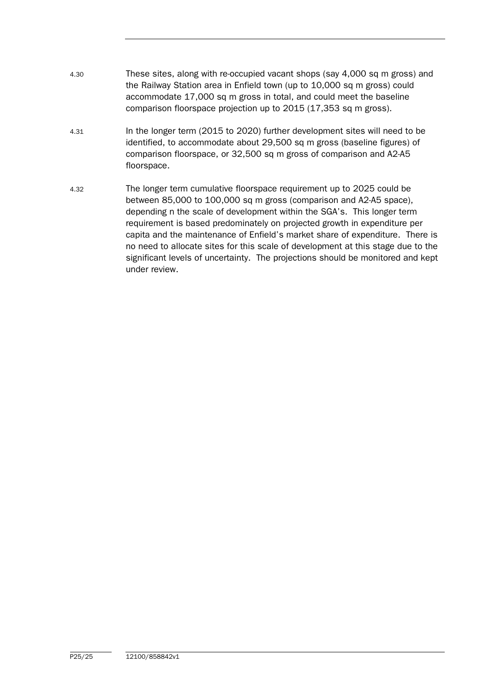- 4.30 These sites, along with re-occupied vacant shops (say 4,000 sq m gross) and the Railway Station area in Enfield town (up to 10,000 sq m gross) could accommodate 17,000 sq m gross in total, and could meet the baseline comparison floorspace projection up to 2015 (17,353 sq m gross).
- 4.31 In the longer term (2015 to 2020) further development sites will need to be identified, to accommodate about 29,500 sq m gross (baseline figures) of comparison floorspace, or 32,500 sq m gross of comparison and A2-A5 floorspace.
- 4.32 The longer term cumulative floorspace requirement up to 2025 could be between 85,000 to 100,000 sq m gross (comparison and A2-A5 space), depending n the scale of development within the SGA's. This longer term requirement is based predominately on projected growth in expenditure per capita and the maintenance of Enfield's market share of expenditure. There is no need to allocate sites for this scale of development at this stage due to the significant levels of uncertainty. The projections should be monitored and kept under review.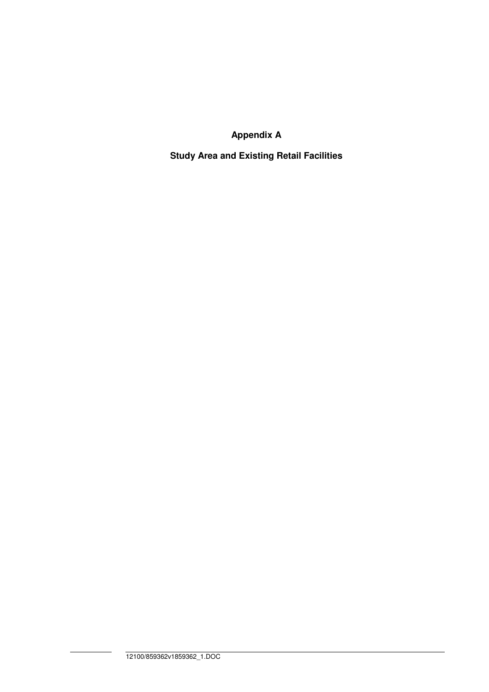**Appendix A** 

**Study Area and Existing Retail Facilities**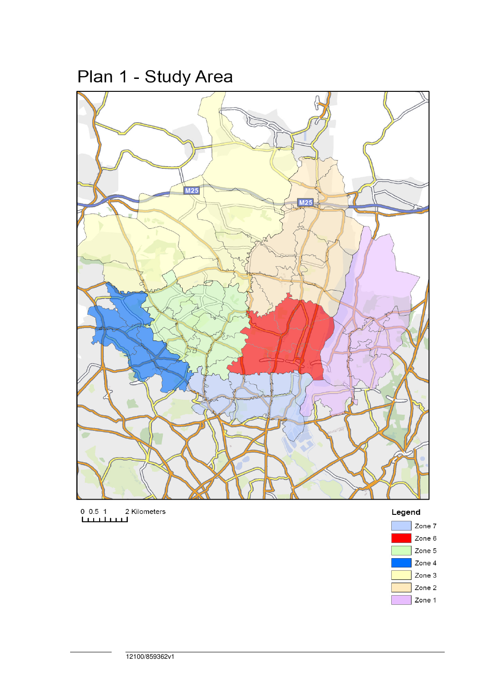Plan 1 - Study Area



0 0.5 1 2 Kilometers<br>[

## Legend

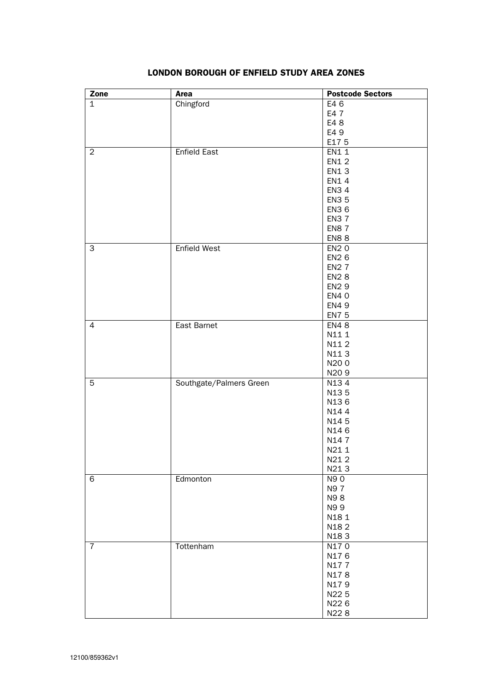| Zone           | <b>Area</b>             | <b>Postcode Sectors</b> |
|----------------|-------------------------|-------------------------|
| $\mathbf{1}$   | Chingford               | E46                     |
|                |                         | E4 7                    |
|                |                         | E4 8                    |
|                |                         | E4 9                    |
|                |                         | E175                    |
| 2              | Enfield East            | EN1 1                   |
|                |                         | <b>EN12</b>             |
|                |                         | EN13                    |
|                |                         | EN1 4                   |
|                |                         | <b>EN34</b>             |
|                |                         | <b>EN35</b>             |
|                |                         | <b>EN3 6</b>            |
|                |                         | <b>EN37</b>             |
|                |                         | <b>EN87</b>             |
|                |                         | <b>EN88</b>             |
| 3              | <b>Enfield West</b>     | <b>EN20</b>             |
|                |                         | <b>EN26</b>             |
|                |                         | <b>EN27</b>             |
|                |                         | <b>EN28</b>             |
|                |                         | <b>EN2 9</b>            |
|                |                         | <b>EN40</b>             |
|                |                         | <b>EN49</b>             |
|                |                         | <b>EN7 5</b>            |
| 4              | East Barnet             | <b>EN48</b>             |
|                |                         | N11 1                   |
|                |                         | N112                    |
|                |                         | N113                    |
|                |                         | N200                    |
|                |                         | N <sub>20</sub> 9       |
| $\overline{5}$ | Southgate/Palmers Green | N134                    |
|                |                         | N135                    |
|                |                         | N136                    |
|                |                         | N144                    |
|                |                         | N145                    |
|                |                         | N146                    |
|                |                         | N147<br>N21 1           |
|                |                         |                         |
|                |                         | N212<br>N213            |
| 6              | Edmonton                | N90                     |
|                |                         | N97                     |
|                |                         | N98                     |
|                |                         | N99                     |
|                |                         | N181                    |
|                |                         | N182                    |
|                |                         | N183                    |
| $\overline{7}$ | Tottenham               | N170                    |
|                |                         | N176                    |
|                |                         | N177                    |
|                |                         | N178                    |
|                |                         | N179                    |
|                |                         | N22 5                   |
|                |                         | N226                    |
|                |                         | N228                    |
|                |                         |                         |

#### LONDON BOROUGH OF ENFIELD STUDY AREA ZONES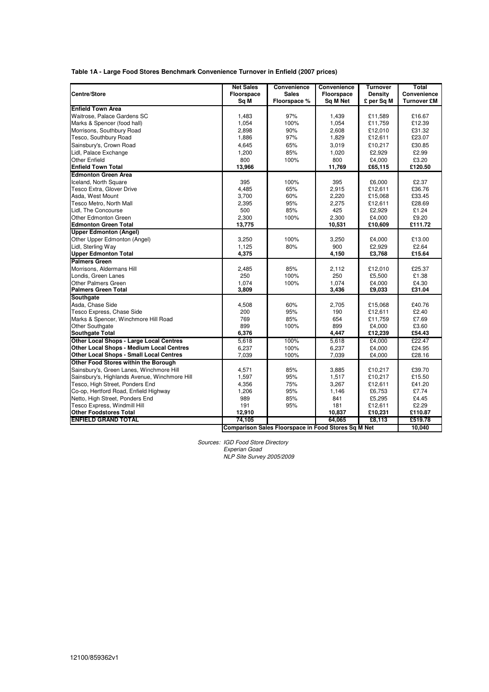| Table 1A - Large Food Stores Benchmark Convenience Turnover in Enfield (2007 prices) |
|--------------------------------------------------------------------------------------|
|--------------------------------------------------------------------------------------|

|                                               | <b>Net Sales</b> | Convenience                                         | Convenience | <b>Turnover</b> | Total              |
|-----------------------------------------------|------------------|-----------------------------------------------------|-------------|-----------------|--------------------|
| Centre/Store                                  | Floorspace       | <b>Sales</b>                                        | Floorspace  | Density         | <b>Convenience</b> |
|                                               | Sq M             | Floorspace %                                        | Sq M Net    | £ per Sq M      | <b>Turnover £M</b> |
| <b>Enfield Town Area</b>                      |                  |                                                     |             |                 |                    |
| Waitrose, Palace Gardens SC                   | 1,483            | 97%                                                 | 1,439       | £11,589         | £16.67             |
| Marks & Spencer (food hall)                   | 1,054            | 100%                                                | 1,054       | £11,759         | £12.39             |
| Morrisons, Southbury Road                     | 2,898            | 90%                                                 | 2,608       | £12,010         | £31.32             |
| Tesco, Southbury Road                         | 1,886            | 97%                                                 | 1,829       | £12,611         | £23.07             |
| Sainsbury's, Crown Road                       | 4,645            | 65%                                                 | 3,019       | £10,217         | £30.85             |
| Lidl, Palace Exchange                         | 1,200            | 85%                                                 | 1,020       | £2,929          | £2.99              |
| Other Enfield                                 | 800              | 100%                                                | 800         | £4,000          | £3.20              |
| <b>Enfield Town Total</b>                     | 13,966           |                                                     | 11,769      | £65,115         | £120.50            |
| <b>Edmonton Green Area</b>                    |                  |                                                     |             |                 |                    |
| Iceland, North Square                         | 395              | 100%                                                | 395         | £6,000          | £2.37              |
| Tesco Extra, Glover Drive                     | 4,485            | 65%                                                 | 2,915       | £12,611         | £36.76             |
| Asda, West Mount                              | 3,700            | 60%                                                 | 2,220       | £15,068         | £33.45             |
| Tesco Metro, North Mall                       | 2,395            | 95%                                                 | 2,275       | £12,611         | £28.69             |
| Lidl, The Concourse                           | 500              | 85%                                                 | 425         | £2,929          | £1.24              |
| Other Edmonton Green                          | 2,300            | 100%                                                | 2,300       | £4,000          | £9.20              |
| <b>Edmonton Green Total</b>                   | 13,775           |                                                     | 10,531      | £10,609         | £111.72            |
| <b>Upper Edmonton (Angel)</b>                 |                  |                                                     |             |                 |                    |
| Other Upper Edmonton (Angel)                  | 3,250            | 100%                                                | 3,250       | £4,000          | £13.00             |
| Lidl, Sterling Way                            | 1,125            | 80%                                                 | 900         | £2,929          | £2.64              |
| <b>Upper Edmonton Total</b>                   | 4,375            |                                                     | 4,150       | £3,768          | £15.64             |
| <b>Palmers Green</b>                          |                  |                                                     |             |                 |                    |
| Morrisons, Aldermans Hill                     | 2,485            | 85%                                                 | 2,112       | £12,010         | £25.37             |
| Londis. Green Lanes                           | 250              | 100%                                                | 250         | £5,500          | £1.38              |
| Other Palmers Green                           | 1,074            | 100%                                                | 1,074       | £4,000          | £4.30              |
| <b>Palmers Green Total</b>                    | 3,809            |                                                     | 3,436       | £9,033          | £31.04             |
| Southgate                                     |                  |                                                     |             |                 |                    |
| Asda, Chase Side                              | 4,508            | 60%                                                 | 2,705       | £15,068         | £40.76             |
| Tesco Express, Chase Side                     | 200              | 95%                                                 | 190         | £12,611         | £2.40              |
| Marks & Spencer, Winchmore Hill Road          | 769              | 85%                                                 | 654         | £11,759         | £7.69              |
| Other Southgate                               | 899              | 100%                                                | 899         | £4,000          | £3.60              |
| <b>Southgate Total</b>                        | 6,376            |                                                     | 4,447       | £12,239         | £54.43             |
| Other Local Shops - Large Local Centres       | 5,618            | 100%                                                | 5,618       | £4,000          | £22.47             |
| Other Local Shops - Medium Local Centres      | 6,237            | 100%                                                | 6,237       | £4,000          | £24.95             |
| Other Local Shops - Small Local Centres       | 7,039            | 100%                                                | 7,039       | £4,000          | £28.16             |
| Other Food Stores within the Borough          |                  |                                                     |             |                 |                    |
| Sainsbury's, Green Lanes, Winchmore Hill      | 4,571            | 85%                                                 | 3,885       | £10,217         | £39.70             |
| Sainsbury's, Highlands Avenue, Winchmore Hill | 1,597            | 95%                                                 | 1,517       | £10,217         | £15.50             |
| Tesco, High Street, Ponders End               | 4,356            | 75%                                                 | 3,267       | £12,611         | £41.20             |
| Co-op, Hertford Road, Enfield Highway         | 1,206            | 95%                                                 | 1,146       | £6,753          | £7.74              |
| Netto, High Street, Ponders End               | 989              | 85%                                                 | 841         | £5,295          | £4.45              |
| Tesco Express, Windmill Hill                  | 191              | 95%                                                 | 181         | £12,611         | £2.29              |
| <b>Other Foodstores Total</b>                 | 12,910           |                                                     | 10,837      | £10,231         | £110.87            |
| <b>ENFIELD GRAND TOTAL</b>                    | 74.105           |                                                     | 64.065      | £8,113          | £519.78            |
|                                               |                  | Comparison Sales Floorspace in Food Stores Sq M Net |             |                 | 10,040             |

Sources: IGD Food Store Directory Experian Goad NLP Site Survey 2005/2009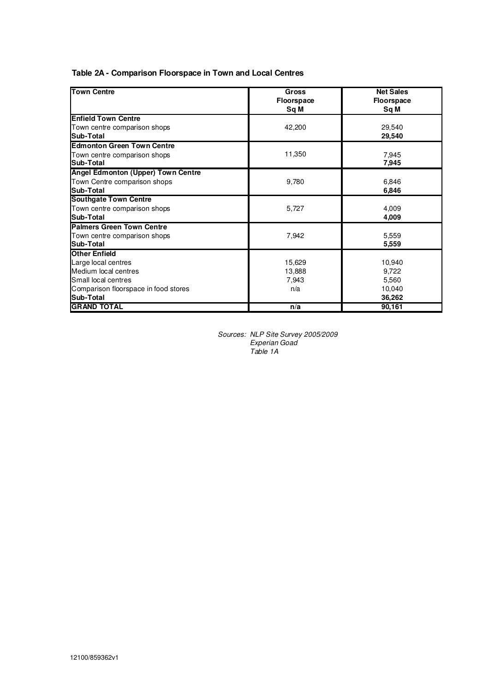| Table 2A - Comparison Floorspace in Town and Local Centres |
|------------------------------------------------------------|
|------------------------------------------------------------|

| <b>Town Centre</b>                   | Gross             | <b>Net Sales</b>  |
|--------------------------------------|-------------------|-------------------|
|                                      | <b>Floorspace</b> | <b>Floorspace</b> |
|                                      | Sq M              | Sq M              |
| <b>Enfield Town Centre</b>           |                   |                   |
| Town centre comparison shops         | 42,200            | 29,540            |
| Sub-Total                            |                   | 29,540            |
| <b>Edmonton Green Town Centre</b>    |                   |                   |
| Town centre comparison shops         | 11,350            | 7,945             |
| Sub-Total                            |                   | 7,945             |
| Angel Edmonton (Upper) Town Centre   |                   |                   |
| Town Centre comparison shops         | 9,780             | 6,846             |
| Sub-Total                            |                   | 6,846             |
| <b>Southgate Town Centre</b>         |                   |                   |
| Town centre comparison shops         | 5,727             | 4,009             |
| Sub-Total                            |                   | 4,009             |
| <b>Palmers Green Town Centre</b>     |                   |                   |
| Town centre comparison shops         | 7,942             | 5,559             |
| Sub-Total                            |                   | 5.559             |
| <b>Other Enfield</b>                 |                   |                   |
| Large local centres                  | 15,629            | 10,940            |
| Medium local centres                 | 13,888            | 9,722             |
| Small local centres                  | 7,943             | 5,560             |
| Comparison floorspace in food stores | n/a               | 10,040            |
| Sub-Total                            |                   | 36,262            |
| <b>GRAND TOTAL</b>                   | n/a               | 90,161            |

Sources: NLP Site Survey 2005/2009 Experian Goad Table 1A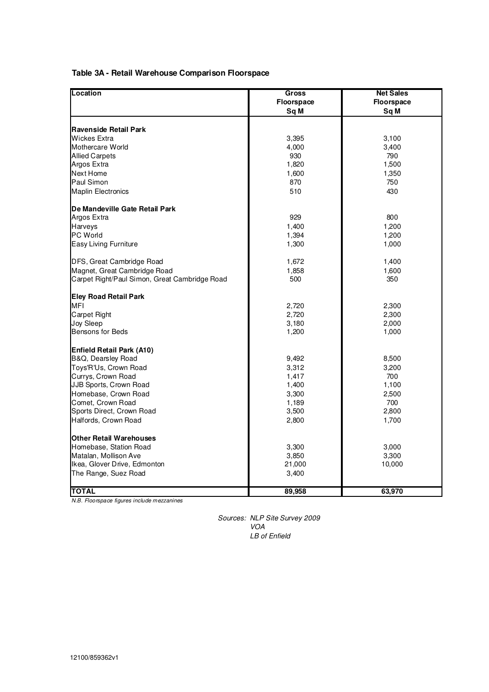#### **Table 3A - Retail Warehouse Comparison Floorspace**

| Location                                      | Gross      | <b>Net Sales</b>  |
|-----------------------------------------------|------------|-------------------|
|                                               | Floorspace | <b>Floorspace</b> |
|                                               | Sq M       | Sq M              |
|                                               |            |                   |
| <b>Ravenside Retail Park</b>                  |            |                   |
| Wickes Extra                                  | 3,395      | 3,100             |
| Mothercare World                              | 4,000      | 3,400             |
| <b>Allied Carpets</b>                         | 930        | 790               |
| Argos Extra                                   | 1,820      | 1,500             |
| Next Home                                     | 1,600      | 1,350             |
| Paul Simon                                    | 870        | 750               |
|                                               |            |                   |
| <b>Maplin Electronics</b>                     | 510        | 430               |
| De Mandeville Gate Retail Park                |            |                   |
| Argos Extra                                   | 929        | 800               |
| <b>Harveys</b>                                | 1,400      | 1,200             |
| PC World                                      | 1,394      | 1,200             |
| Easy Living Furniture                         | 1,300      | 1,000             |
|                                               |            |                   |
| DFS, Great Cambridge Road                     | 1,672      | 1,400             |
| Magnet, Great Cambridge Road                  | 1,858      | 1,600             |
| Carpet Right/Paul Simon, Great Cambridge Road | 500        | 350               |
|                                               |            |                   |
| <b>Eley Road Retail Park</b>                  |            |                   |
| <b>MFI</b>                                    | 2,720      | 2,300             |
| Carpet Right                                  | 2,720      | 2,300             |
| <b>Joy Sleep</b>                              | 3,180      | 2,000             |
| Bensons for Beds                              | 1,200      | 1,000             |
| <b>Enfield Retail Park (A10)</b>              |            |                   |
| B&Q, Dearsley Road                            | 9,492      | 8,500             |
| Toys'R'Us, Crown Road                         |            | 3,200             |
|                                               | 3,312      | 700               |
| Currys, Crown Road                            | 1,417      |                   |
| JJB Sports, Crown Road                        | 1,400      | 1,100             |
| Homebase, Crown Road                          | 3,300      | 2,500             |
| Comet, Crown Road                             | 1,189      | 700               |
| Sports Direct, Crown Road                     | 3,500      | 2,800             |
| Halfords, Crown Road                          | 2,800      | 1,700             |
| <b>Other Retail Warehouses</b>                |            |                   |
| Homebase, Station Road                        | 3,300      | 3,000             |
| Matalan, Mollison Ave                         | 3,850      | 3,300             |
| Ikea, Glover Drive, Edmonton                  | 21,000     | 10,000            |
|                                               |            |                   |
| The Range, Suez Road                          | 3,400      |                   |
| <b>TOTAL</b>                                  | 89,958     | 63,970            |

N.B. Floorspace figures include mezzanines

Sources: NLP Site Survey 2009 VOA LB of Enfield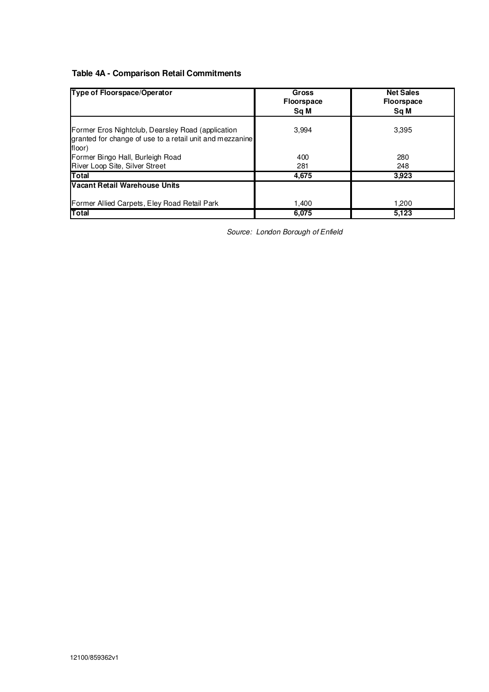## **Table 4A - Comparison Retail Commitments**

| Type of Floorspace/Operator                                                                                             | Gross<br><b>Floorspace</b><br>Sq M | <b>Net Sales</b><br><b>Floorspace</b><br>Sq M |
|-------------------------------------------------------------------------------------------------------------------------|------------------------------------|-----------------------------------------------|
| Former Eros Nightclub, Dearsley Road (application<br>granted for change of use to a retail unit and mezzanine<br>floor) | 3.994                              | 3.395                                         |
| Former Bingo Hall, Burleigh Road                                                                                        | 400                                | 280                                           |
| River Loop Site, Silver Street                                                                                          | 281                                | 248                                           |
| Total                                                                                                                   | 4,675                              | 3,923                                         |
| Vacant Retail Warehouse Units                                                                                           |                                    |                                               |
| Former Allied Carpets, Eley Road Retail Park                                                                            | 1.400                              | 1.200                                         |
| Total                                                                                                                   | 6,075                              | 5,123                                         |

Source: London Borough of Enfield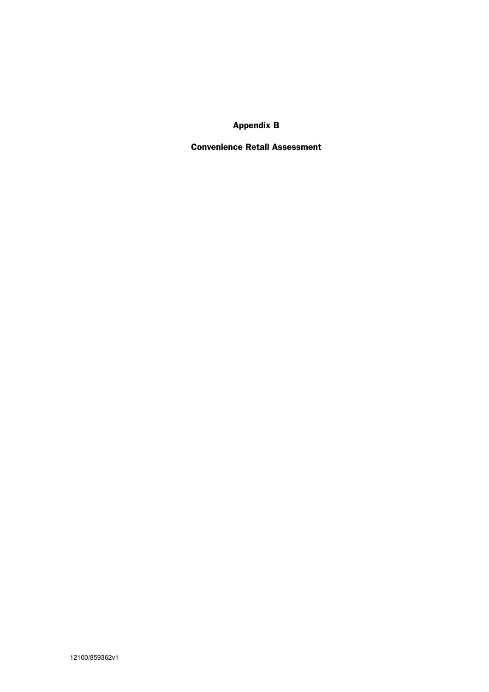Appendix B

Convenience Retail Assessment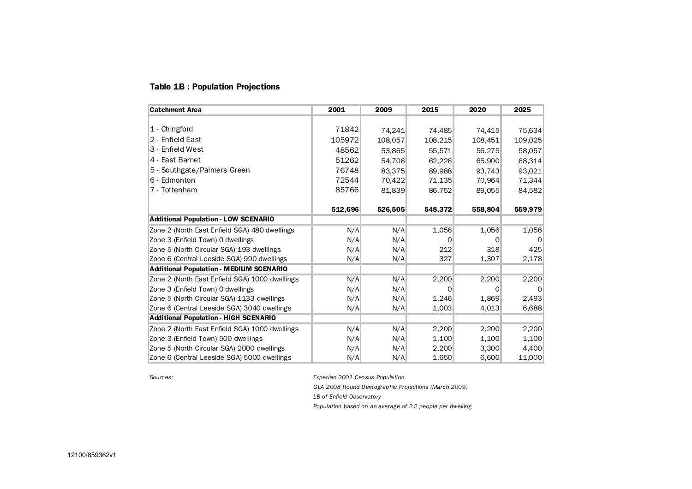#### Table 1B : Population Projections

| <b>Catchment Area</b>                          | 2001    | 2009    | 2015    | 2020    | 2025    |
|------------------------------------------------|---------|---------|---------|---------|---------|
|                                                |         |         |         |         |         |
| 1 - Chingford                                  | 71842   | 74,241  | 74,485  | 74,415  | 75,634  |
| 2 - Enfield East                               | 105972  | 108,057 | 108,215 | 108,451 | 109,025 |
| 3 - Enfield West                               | 48562   | 53,865  | 55,571  | 56,275  | 58,057  |
| 4 - East Barnet                                | 51262   | 54.706  | 62,226  | 65,900  | 68,314  |
| 5 - Southgate/Palmers Green                    | 76748   | 83.375  | 89.988  | 93,743  | 93.021  |
| 6 - Edmonton                                   | 72544   | 70,422  | 71,135  | 70,964  | 71,344  |
| 7 - Tottenham                                  | 85766   | 81,839  | 86,752  | 89,055  | 84,582  |
|                                                |         |         |         |         |         |
|                                                | 512,696 | 526,505 | 548.372 | 558,804 | 559,979 |
| <b>Additional Population - LOW SCENARIO</b>    |         |         |         |         |         |
| Zone 2 (North East Enfield SGA) 480 dwellings  | N/A     | N/A     | 1,056   | 1,056   | 1,056   |
| Zone 3 (Enfield Town) 0 dwellings              | N/A     | N/A     | 0       |         |         |
| Zone 5 (North Circular SGA) 193 dwellings      | N/A     | N/A     | 212     | 318     | 425     |
| Zone 6 (Central Leeside SGA) 990 dwellings     | N/A     | N/A     | 327     | 1,307   | 2,178   |
| <b>Additional Population - MEDIUM SCENARIO</b> |         |         |         |         |         |
| Zone 2 (North East Enfield SGA) 1000 dwellings | N/A     | N/A     | 2,200   | 2,200   | 2,200   |
| Zone 3 (Enfield Town) 0 dwellings              | N/A     | N/A     | 0       | O       |         |
| Zone 5 (North Circular SGA) 1133 dwellings     | N/A     | N/A     | 1,246   | 1.869   | 2.493   |
| Zone 6 (Central Leeside SGA) 3040 dwellings    | N/A     | N/A     | 1,003   | 4,013   | 6,688   |
| <b>Additional Population - HIGH SCENARIO</b>   |         |         |         |         |         |
| Zone 2 (North East Enfield SGA) 1000 dwellings | N/A     | N/A     | 2,200   | 2,200   | 2,200   |
| Zone 3 (Enfield Town) 500 dwellings            | N/A     | N/A     | 1,100   | 1,100   | 1,100   |
| Zone 5 (North Circular SGA) 2000 dwellings     | N/A     | N/A     | 2,200   | 3,300   | 4,400   |
| Zone 6 (Central Leeside SGA) 5000 dwellings    | N/A     | N/A     | 1,650   | 6,600   | 11,000  |

Sources: Experian 2001 Census Population

GLA 2008 Round Demographic Projections (March 2009)

LB of Enfield Observatory

Population based on an average of 2.2 people per dwelling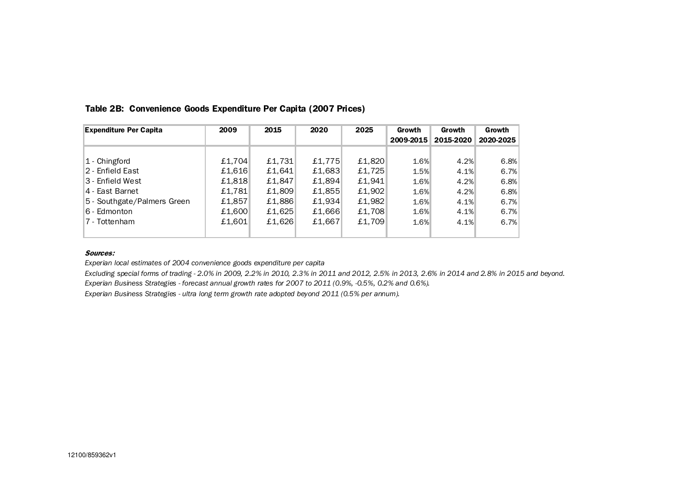| <b>Expenditure Per Capita</b> | 2009   | 2015   | 2020   | 2025   | Growth    | Growth    | Growth    |
|-------------------------------|--------|--------|--------|--------|-----------|-----------|-----------|
|                               |        |        |        |        | 2009-2015 | 2015-2020 | 2020-2025 |
|                               |        |        |        |        |           |           |           |
| 1 - Chingford                 | £1,704 | £1,731 | £1,775 | £1,820 | 1.6%      | 4.2%      | 6.8%      |
| 2 - Enfield East              | £1,616 | £1,641 | £1,683 | £1,725 | 1.5%      | 4.1%      | 6.7%      |
| 3 - Enfield West              | £1,818 | £1,847 | £1,894 | £1.941 | 1.6%      | 4.2%      | 6.8%      |
| 4 - East Barnet               | £1,781 | £1,809 | £1,855 | £1,902 | 1.6%      | 4.2%      | 6.8%      |
| 5 - Southgate/Palmers Green   | £1,857 | £1,886 | £1.934 | £1.982 | 1.6%      | 4.1%      | 6.7%      |
| 6 - Edmonton                  | £1,600 | £1,625 | £1,666 | £1,708 | 1.6%      | 4.1%      | 6.7%      |
| 7 - Tottenham                 | £1.601 | £1.626 | £1,667 | £1.709 | 1.6%      | 4.1%      | 6.7%      |
|                               |        |        |        |        |           |           |           |

#### Table 2B: Convenience Goods Expenditure Per Capita (2007 Prices)

#### Sources:

Experian local estimates of 2004 convenience goods expenditure per capita

Excluding special forms of trading - 2.0% in 2009, 2.2% in 2010, 2.3% in 2011 and 2012, 2.5% in 2013, 2.6% in 2014 and 2.8% in 2015 and beyond.

Experian Business Strategies - forecast annual growth rates for 2007 to 2011 (0.9%, -0.5%, 0.2% and 0.6%).

Experian Business Strategies - ultra long term growth rate adopted beyond 2011 (0.5% per annum).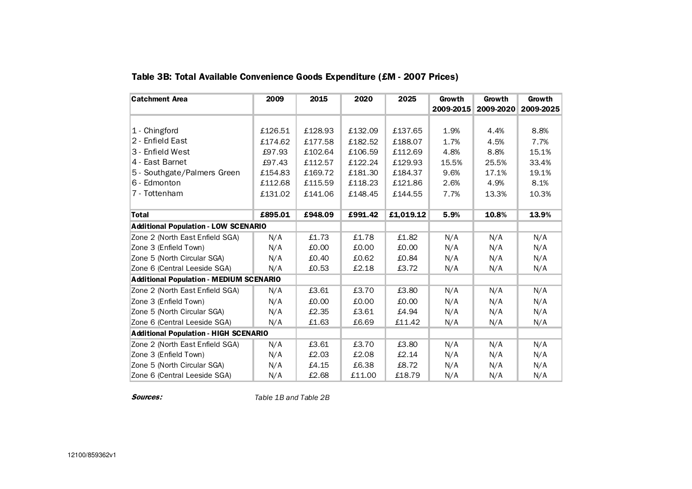| <b>Catchment Area</b>                          | 2009    | 2015    | 2020    | 2025      | Growth    | <b>Growth</b> | Growth    |
|------------------------------------------------|---------|---------|---------|-----------|-----------|---------------|-----------|
|                                                |         |         |         |           | 2009-2015 | 2009-2020     | 2009-2025 |
|                                                |         |         |         |           |           |               |           |
| 1 - Chingford                                  | £126.51 | £128.93 | £132.09 | £137.65   | 1.9%      | 4.4%          | 8.8%      |
| 2 - Enfield East                               | £174.62 | £177.58 | £182.52 | £188.07   | 1.7%      | 4.5%          | 7.7%      |
| 3 - Enfield West                               | £97.93  | £102.64 | £106.59 | £112.69   | 4.8%      | 8.8%          | 15.1%     |
| 4 - East Barnet                                | £97.43  | £112.57 | £122.24 | £129.93   | 15.5%     | 25.5%         | 33.4%     |
| 5 - Southgate/Palmers Green                    | £154.83 | £169.72 | £181.30 | £184.37   | 9.6%      | 17.1%         | 19.1%     |
| 6 - Edmonton                                   | £112.68 | £115.59 | £118.23 | £121.86   | 2.6%      | 4.9%          | 8.1%      |
| 7 - Tottenham                                  | £131.02 | £141.06 | £148.45 | £144.55   | 7.7%      | 13.3%         | 10.3%     |
|                                                |         |         |         |           |           |               |           |
| <b>Total</b>                                   | £895.01 | £948.09 | £991.42 | £1,019.12 | 5.9%      | 10.8%         | 13.9%     |
| <b>Additional Population - LOW SCENARIO</b>    |         |         |         |           |           |               |           |
| Zone 2 (North East Enfield SGA)                | N/A     | £1.73   | £1.78   | £1.82     | N/A       | N/A           | N/A       |
| Zone 3 (Enfield Town)                          | N/A     | £0.00   | £0.00   | £0.00     | N/A       | N/A           | N/A       |
| Zone 5 (North Circular SGA)                    | N/A     | £0.40   | £0.62   | £0.84     | N/A       | N/A           | N/A       |
| Zone 6 (Central Leeside SGA)                   | N/A     | £0.53   | £2.18   | £3.72     | N/A       | N/A           | N/A       |
| <b>Additional Population - MEDIUM SCENARIO</b> |         |         |         |           |           |               |           |
| Zone 2 (North East Enfield SGA)                | N/A     | £3.61   | £3.70   | £3.80     | N/A       | N/A           | N/A       |
| Zone 3 (Enfield Town)                          | N/A     | £0.00   | £0.00   | £0.00     | N/A       | N/A           | N/A       |
| Zone 5 (North Circular SGA)                    | N/A     | £2.35   | £3.61   | £4.94     | N/A       | N/A           | N/A       |
| Zone 6 (Central Leeside SGA)                   | N/A     | £1.63   | £6.69   | £11.42    | N/A       | N/A           | N/A       |
| <b>Additional Population - HIGH SCENARIO</b>   |         |         |         |           |           |               |           |
| Zone 2 (North East Enfield SGA)                | N/A     | £3.61   | £3.70   | £3.80     | N/A       | N/A           | N/A       |
| Zone 3 (Enfield Town)                          | N/A     | £2.03   | £2.08   | £2.14     | N/A       | N/A           | N/A       |
| Zone 5 (North Circular SGA)                    | N/A     | £4.15   | £6.38   | £8.72     | N/A       | N/A           | N/A       |
| Zone 6 (Central Leeside SGA)                   | N/A     | £2.68   | £11.00  | £18.79    | N/A       | N/A           | N/A       |

## Table 3B: Total Available Convenience Goods Expenditure (£M - 2007 Prices)

Sources:

Table 1B and Table 2B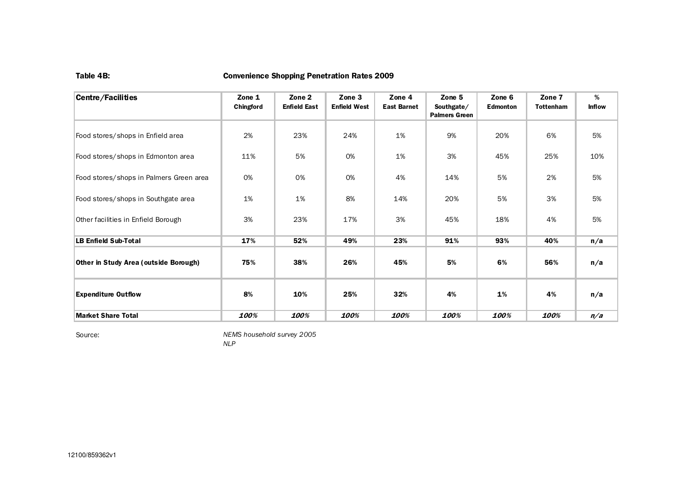#### Table 4B: Convenience Shopping Penetration Rates 2009

| <b>Centre/Facilities</b>                | Zone 1<br>Chingford | Zone 2<br><b>Enfield East</b> | Zone 3<br><b>Enfield West</b> | Zone 4<br><b>East Barnet</b> | Zone 5<br>Southgate/<br><b>Palmers Green</b> | Zone 6<br><b>Edmonton</b> | Zone 7<br><b>Tottenham</b> | %<br><b>Inflow</b> |
|-----------------------------------------|---------------------|-------------------------------|-------------------------------|------------------------------|----------------------------------------------|---------------------------|----------------------------|--------------------|
| Food stores/shops in Enfield area       | 2%                  | 23%                           | 24%                           | 1%                           | 9%                                           | 20%                       | 6%                         | 5%                 |
| Food stores/shops in Edmonton area      | 11%                 | 5%                            | 0%                            | 1%                           | 3%                                           | 45%                       | 25%                        | 10%                |
| Food stores/shops in Palmers Green area | 0%                  | 0%                            | 0%                            | 4%                           | 14%                                          | 5%                        | 2%                         | 5%                 |
| Food stores/shops in Southgate area     | 1%                  | 1%                            | 8%                            | 14%                          | 20%                                          | 5%                        | 3%                         | 5%                 |
| Other facilities in Enfield Borough     | 3%                  | 23%                           | 17%                           | 3%                           | 45%                                          | 18%                       | 4%                         | 5%                 |
| <b>LB Enfield Sub-Total</b>             | 17%                 | 52%                           | 49%                           | 23%                          | 91%                                          | 93%                       | 40%                        | n/a                |
| Other in Study Area (outside Borough)   | 75%                 | 38%                           | 26%                           | 45%                          | 5%                                           | 6%                        | 56%                        | n/a                |
| <b>Expenditure Outflow</b>              | 8%                  | 10%                           | 25%                           | 32%                          | 4%                                           | 1%                        | 4%                         | n/a                |
| <b>Market Share Total</b>               | 100%                | 100%                          | 100%                          | 100%                         | 100%                                         | 100%                      | 100%                       | n/a                |

Source:

NEMS household survey 2005

NLP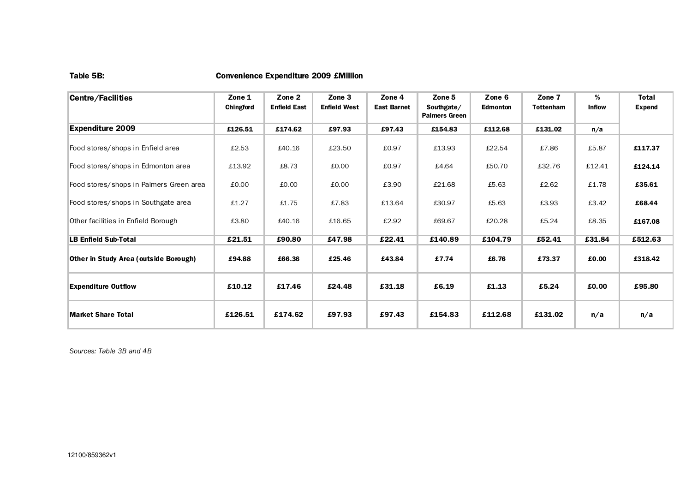#### Table 5B: Convenience Expenditure 2009 £Million

| Centre/Facilities                       | Zone 1<br><b>Chingford</b> | Zone 2<br><b>Enfield East</b> | Zone 3<br><b>Enfield West</b> | Zone 4<br><b>East Barnet</b> | Zone 5<br>Southgate/<br><b>Palmers Green</b> | Zone 6<br><b>Edmonton</b> | Zone 7<br><b>Tottenham</b> | %<br><b>Inflow</b> | Total<br><b>Expend</b> |
|-----------------------------------------|----------------------------|-------------------------------|-------------------------------|------------------------------|----------------------------------------------|---------------------------|----------------------------|--------------------|------------------------|
| <b>Expenditure 2009</b>                 | £126.51                    | £174.62                       | £97.93                        | £97.43                       | £154.83                                      | £112.68                   | £131.02                    | n/a                |                        |
| Food stores/shops in Enfield area       | £2.53                      | £40.16                        | £23.50                        | £0.97                        | £13.93                                       | £22.54                    | £7.86                      | £5.87              | £117.37                |
| Food stores/shops in Edmonton area      | £13.92                     | £8.73                         | £0.00                         | £0.97                        | £4.64                                        | £50.70                    | £32.76                     | £12.41             | £124.14                |
| Food stores/shops in Palmers Green area | £0.00                      | £0.00                         | £0.00                         | £3.90                        | £21.68                                       | £5.63                     | £2.62                      | £1.78              | £35.61                 |
| Food stores/shops in Southgate area     | £1.27                      | £1.75                         | £7.83                         | £13.64                       | £30.97                                       | £5.63                     | £3.93                      | £3.42              | £68.44                 |
| Other facilities in Enfield Borough     | £3.80                      | £40.16                        | £16.65                        | £2.92                        | £69.67                                       | £20.28                    | £5.24                      | £8.35              | £167.08                |
| <b>LB Enfield Sub-Total</b>             | £21.51                     | £90.80                        | £47.98                        | £22.41                       | £140.89                                      | £104.79                   | £52.41                     | £31.84             | £512.63                |
| Other in Study Area (outside Borough)   | £94.88                     | £66.36                        | £25.46                        | £43.84                       | £7.74                                        | £6.76                     | £73.37                     | £0.00              | £318.42                |
| <b>Expenditure Outflow</b>              | £10.12                     | £17.46                        | £24.48                        | £31.18                       | £6.19                                        | £1.13                     | £5.24                      | £0.00              | £95.80                 |
| <b>Market Share Total</b>               | £126.51                    | £174.62                       | £97.93                        | £97.43                       | £154.83                                      | £112.68                   | £131.02                    | n/a                | n/a                    |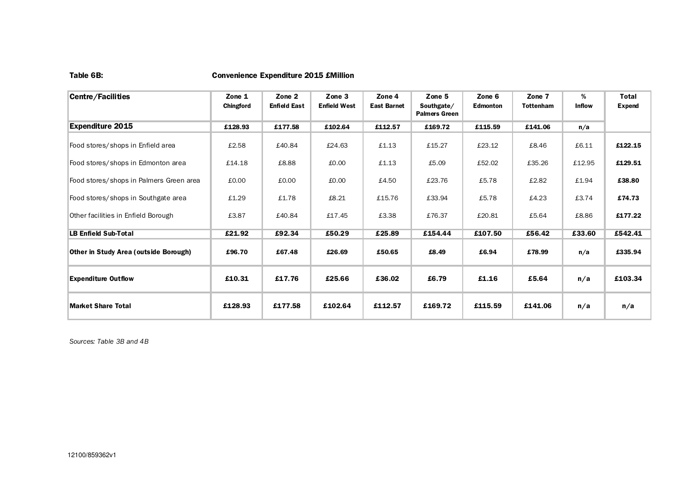#### Table 6B: Convenience Expenditure 2015 £Million

| Centre/Facilities                            | Zone 1<br>Chingford | Zone 2<br><b>Enfield East</b> | Zone 3<br><b>Enfield West</b> | Zone 4<br><b>East Barnet</b> | Zone 5<br>Southgate/<br><b>Palmers Green</b> | Zone 6<br><b>Edmonton</b> | Zone 7<br><b>Tottenham</b> | %<br><b>Inflow</b> | Total<br><b>Expend</b> |
|----------------------------------------------|---------------------|-------------------------------|-------------------------------|------------------------------|----------------------------------------------|---------------------------|----------------------------|--------------------|------------------------|
| <b>Expenditure 2015</b>                      | £128.93             | £177.58                       | £102.64                       | £112.57                      | £169.72                                      | £115.59                   | £141.06                    | n/a                |                        |
| Food stores/shops in Enfield area            | £2.58               | £40.84                        | £24.63                        | £1.13                        | £15.27                                       | £23.12                    | £8.46                      | £6.11              | £122.15                |
| Food stores/shops in Edmonton area           | £14.18              | £8.88                         | £0.00                         | £1.13                        | £5.09                                        | £52.02                    | £35.26                     | £12.95             | £129.51                |
| Food stores/shops in Palmers Green area      | £0.00               | £0.00                         | £0.00                         | £4.50                        | £23.76                                       | £5.78                     | £2.82                      | £1.94              | £38.80                 |
| Food stores/shops in Southgate area          | £1.29               | £1.78                         | £8.21                         | £15.76                       | £33.94                                       | £5.78                     | £4.23                      | £3.74              | £74.73                 |
| Other facilities in Enfield Borough          | £3.87               | £40.84                        | £17.45                        | £3.38                        | £76.37                                       | £20.81                    | £5.64                      | £8.86              | £177.22                |
| <b>LB Enfield Sub-Total</b>                  | £21.92              | £92.34                        | £50.29                        | £25.89                       | £154.44                                      | £107.50                   | £56.42                     | £33.60             | £542.41                |
| <b>Other in Study Area (outside Borough)</b> | £96.70              | £67.48                        | £26.69                        | £50.65                       | £8.49                                        | £6.94                     | £78.99                     | n/a                | £335.94                |
| <b>Expenditure Outflow</b>                   | £10.31              | £17.76                        | £25.66                        | £36.02                       | £6.79                                        | £1.16                     | £5.64                      | n/a                | £103.34                |
| <b>Market Share Total</b>                    | £128.93             | £177.58                       | £102.64                       | £112.57                      | £169.72                                      | £115.59                   | £141.06                    | n/a                | n/a                    |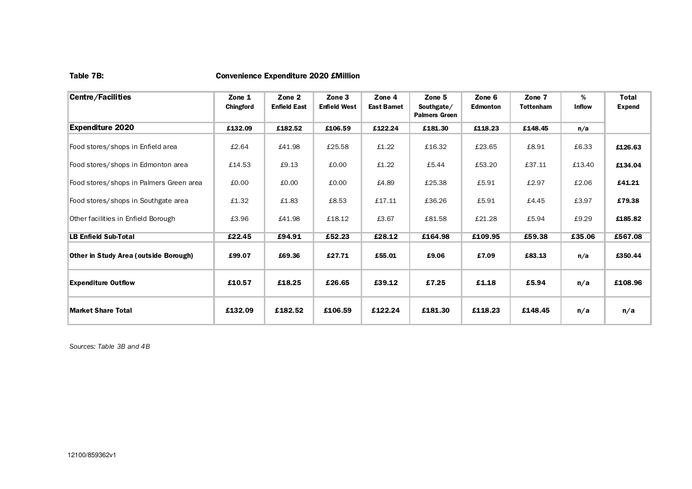#### Table 7B: Convenience Expenditure 2020 £Million

| <b>Centre/Facilities</b>                | Zone 1<br>Chingford | Zone 2<br><b>Enfield East</b> | Zone 3<br><b>Enfield West</b> | Zone 4<br><b>East Barnet</b> | Zone 5<br>Southgate/<br><b>Palmers Green</b> | Zone 6<br><b>Edmonton</b> | Zone 7<br><b>Tottenham</b> | %<br><b>Inflow</b> | <b>Total</b><br><b>Expend</b> |
|-----------------------------------------|---------------------|-------------------------------|-------------------------------|------------------------------|----------------------------------------------|---------------------------|----------------------------|--------------------|-------------------------------|
| <b>Expenditure 2020</b>                 | £132.09             | £182.52                       | £106.59                       | £122.24                      | £181.30                                      | £118.23                   | £148.45                    | n/a                |                               |
| Food stores/shops in Enfield area       | £2.64               | £41.98                        | £25.58                        | £1.22                        | £16.32                                       | £23.65                    | £8.91                      | £6.33              | £126.63                       |
| Food stores/shops in Edmonton area      | £14.53              | £9.13                         | £0.00                         | £1.22                        | £5.44                                        | £53.20                    | £37.11                     | £13.40             | £134.04                       |
| Food stores/shops in Palmers Green area | £0.00               | £0.00                         | £0.00                         | £4.89                        | £25.38                                       | £5.91                     | £2.97                      | £2.06              | £41.21                        |
| Food stores/shops in Southgate area     | £1.32               | £1.83                         | £8.53                         | £17.11                       | £36.26                                       | £5.91                     | £4.45                      | £3.97              | £79.38                        |
| Other facilities in Enfield Borough     | £3.96               | £41.98                        | £18.12                        | £3.67                        | £81.58                                       | £21.28                    | £5.94                      | £9.29              | £185.82                       |
| <b>LB Enfield Sub-Total</b>             | £22.45              | £94.91                        | £52.23                        | £28.12                       | £164.98                                      | £109.95                   | £59.38                     | £35.06             | £567.08                       |
| Other in Study Area (outside Borough)   | £99.07              | £69.36                        | £27.71                        | £55.01                       | £9.06                                        | £7.09                     | £83.13                     | n/a                | £350.44                       |
| <b>Expenditure Outflow</b>              | £10.57              | £18.25                        | £26.65                        | £39.12                       | £7.25                                        | £1.18                     | £5.94                      | n/a                | £108.96                       |
| <b>Market Share Total</b>               | £132.09             | £182.52                       | £106.59                       | £122.24                      | £181.30                                      | £118.23                   | £148.45                    | n/a                | n/a                           |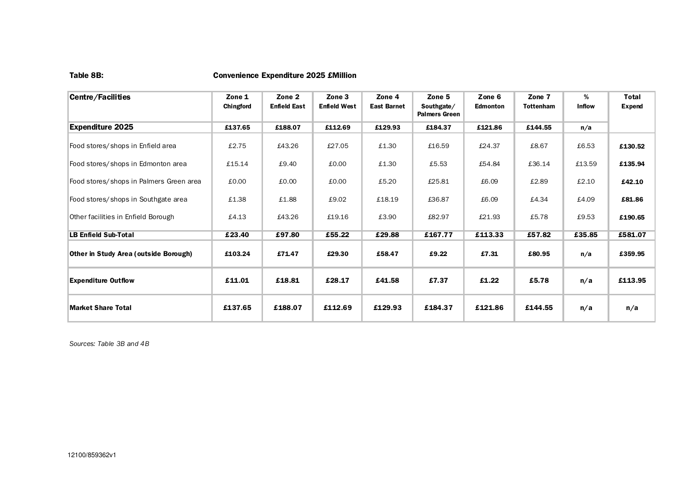#### Table 8B: Convenience Expenditure 2025 £Million

| <b>Centre/Facilities</b>                | Zone 1<br>Chingford | Zone 2<br><b>Enfield East</b> | Zone 3<br><b>Enfield West</b> | Zone 4<br><b>East Barnet</b> | Zone 5<br>Southgate/<br><b>Palmers Green</b> | Zone 6<br><b>Edmonton</b> | Zone 7<br><b>Tottenham</b> | %<br><b>Inflow</b> | <b>Total</b><br><b>Expend</b> |
|-----------------------------------------|---------------------|-------------------------------|-------------------------------|------------------------------|----------------------------------------------|---------------------------|----------------------------|--------------------|-------------------------------|
| <b>Expenditure 2025</b>                 | £137.65             | £188.07                       | £112.69                       | £129.93                      | £184.37                                      | £121.86                   | £144.55                    | n/a                |                               |
| Food stores/shops in Enfield area       | £2.75               | £43.26                        | £27.05                        | £1.30                        | £16.59                                       | £24.37                    | £8.67                      | £6.53              | £130.52                       |
| Food stores/shops in Edmonton area      | £15.14              | £9.40                         | £0.00                         | £1.30                        | £5.53                                        | £54.84                    | £36.14                     | £13.59             | £135.94                       |
| Food stores/shops in Palmers Green area | £0.00               | £0.00                         | £0.00                         | £5.20                        | £25.81                                       | £6.09                     | £2.89                      | £2.10              | £42.10                        |
| Food stores/shops in Southgate area     | £1.38               | £1.88                         | £9.02                         | £18.19                       | £36.87                                       | £6.09                     | £4.34                      | £4.09              | £81.86                        |
| Other facilities in Enfield Borough     | £4.13               | £43.26                        | £19.16                        | £3.90                        | £82.97                                       | £21.93                    | £5.78                      | £9.53              | £190.65                       |
| <b>LB Enfield Sub-Total</b>             | £23.40              | £97.80                        | £55.22                        | £29.88                       | £167.77                                      | £113.33                   | £57.82                     | £35.85             | £581.07                       |
| Other in Study Area (outside Borough)   | £103.24             | £71.47                        | £29.30                        | £58.47                       | £9.22                                        | £7.31                     | £80.95                     | n/a                | £359.95                       |
| <b>Expenditure Outflow</b>              | £11.01              | £18.81                        | £28.17                        | £41.58                       | £7.37                                        | £1.22                     | £5.78                      | n/a                | £113.95                       |
| <b>Market Share Total</b>               | £137.65             | £188.07                       | £112.69                       | £129.93                      | £184.37                                      | £121.86                   | £144.55                    | n/a                | n/a                           |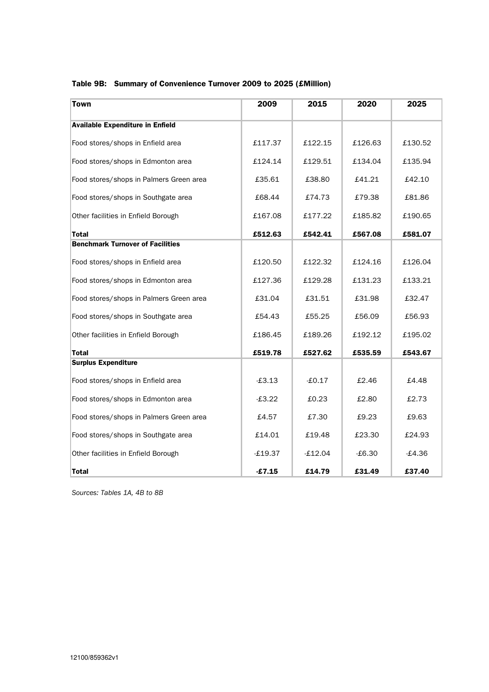|  |  | Table 9B: Summary of Convenience Turnover 2009 to 2025 (£Million) |  |  |  |  |
|--|--|-------------------------------------------------------------------|--|--|--|--|
|--|--|-------------------------------------------------------------------|--|--|--|--|

| <b>Town</b>                             | 2009      | 2015      | 2020     | 2025     |
|-----------------------------------------|-----------|-----------|----------|----------|
| <b>Available Expenditure in Enfield</b> |           |           |          |          |
| Food stores/shops in Enfield area       | £117.37   | £122.15   | £126.63  | £130.52  |
| Food stores/shops in Edmonton area      | £124.14   | £129.51   | £134.04  | £135.94  |
| Food stores/shops in Palmers Green area | £35.61    | £38.80    | £41.21   | £42.10   |
| Food stores/shops in Southgate area     | £68.44    | £74.73    | £79.38   | £81.86   |
| Other facilities in Enfield Borough     | £167.08   | £177.22   | £185.82  | £190.65  |
| Total                                   | £512.63   | £542.41   | £567.08  | £581.07  |
| <b>Benchmark Turnover of Facilities</b> |           |           |          |          |
| Food stores/shops in Enfield area       | £120.50   | £122.32   | £124.16  | £126.04  |
| Food stores/shops in Edmonton area      | £127.36   | £129.28   | £131.23  | £133.21  |
| Food stores/shops in Palmers Green area | £31.04    | £31.51    | £31.98   | £32.47   |
| Food stores/shops in Southgate area     | £54.43    | £55.25    | £56.09   | £56.93   |
| Other facilities in Enfield Borough     | £186.45   | £189.26   | £192.12  | £195.02  |
| <b>Total</b>                            | £519.78   | £527.62   | £535.59  | £543.67  |
| <b>Surplus Expenditure</b>              |           |           |          |          |
| Food stores/shops in Enfield area       | $-£3.13$  | $-£0.17$  | £2.46    | f.4.48   |
| Food stores/shops in Edmonton area      | $-£3.22$  | £0.23     | £2.80    | £2.73    |
| Food stores/shops in Palmers Green area | £4.57     | £7.30     | £9.23    | £9.63    |
| Food stores/shops in Southgate area     | £14.01    | £19.48    | £23.30   | £24.93   |
| Other facilities in Enfield Borough     | $-£19.37$ | $-£12.04$ | $-£6.30$ | $-£4.36$ |
| <b>Total</b>                            | $-£7.15$  | £14.79    | £31.49   | £37.40   |

Sources: Tables 1A, 4B to 8B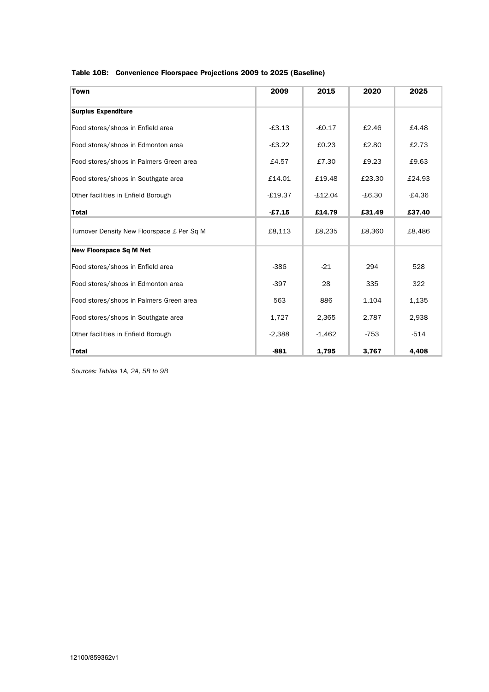| Table 10B: Convenience Floorspace Projections 2009 to 2025 (Baseline) |
|-----------------------------------------------------------------------|
|-----------------------------------------------------------------------|

| <b>Town</b>                                | 2009      | 2015      | 2020     | 2025     |
|--------------------------------------------|-----------|-----------|----------|----------|
| <b>Surplus Expenditure</b>                 |           |           |          |          |
| Food stores/shops in Enfield area          | $-£3.13$  | $-£0.17$  | £2.46    | £4.48    |
| Food stores/shops in Edmonton area         | $-£3.22$  | £0.23     | £2.80    | £2.73    |
| Food stores/shops in Palmers Green area    | £4.57     | £7.30     | £9.23    | £9.63    |
| Food stores/shops in Southgate area        | £14.01    | £19.48    | £23.30   | £24.93   |
| Other facilities in Enfield Borough        | $-£19.37$ | $-£12.04$ | $-£6.30$ | $-£4.36$ |
| <b>Total</b>                               | $-£7.15$  | £14.79    | £31.49   | £37.40   |
| Turnover Density New Floorspace £ Per Sq M | £8,113    | £8,235    | £8,360   | £8,486   |
| <b>New Floorspace Sq M Net</b>             |           |           |          |          |
| Food stores/shops in Enfield area          | $-386$    | $-21$     | 294      | 528      |
| Food stores/shops in Edmonton area         | $-397$    | 28        | 335      | 322      |
| Food stores/shops in Palmers Green area    | 563       | 886       | 1,104    | 1,135    |
| Food stores/shops in Southgate area        | 1,727     | 2,365     | 2,787    | 2,938    |
| Other facilities in Enfield Borough        | $-2,388$  | $-1,462$  | $-753$   | $-514$   |
| <b>Total</b>                               | $-881$    | 1,795     | 3,767    | 4,408    |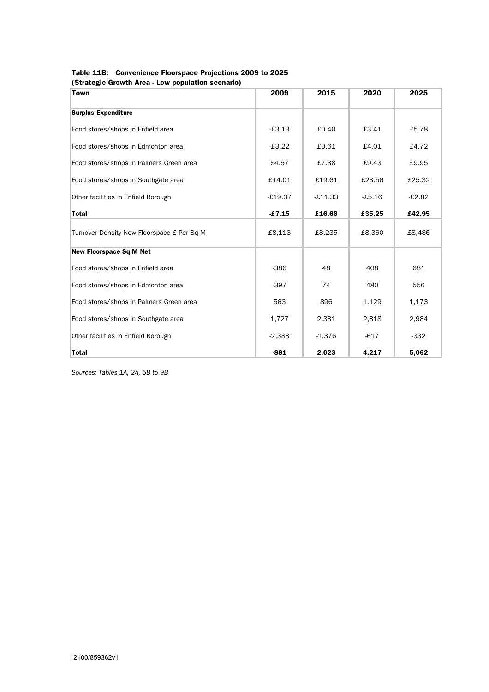| Table 11B: Convenience Floorspace Projections 2009 to 2025 |
|------------------------------------------------------------|
| (Strategic Growth Area - Low population scenario)          |

| Town                                       | 2009      | 2015      | 2020     | 2025     |
|--------------------------------------------|-----------|-----------|----------|----------|
| <b>Surplus Expenditure</b>                 |           |           |          |          |
| Food stores/shops in Enfield area          | $-£3.13$  | £0.40     | £3.41    | £5.78    |
| Food stores/shops in Edmonton area         | $-£3.22$  | £0.61     | £4.01    | £4.72    |
| Food stores/shops in Palmers Green area    | £4.57     | £7.38     | £9.43    | £9.95    |
| Food stores/shops in Southgate area        | £14.01    | £19.61    | £23.56   | £25.32   |
| Other facilities in Enfield Borough        | $-£19.37$ | $-£11.33$ | $-£5.16$ | $-£2.82$ |
| <b>Total</b>                               | $-£7.15$  | £16.66    | £35.25   | £42.95   |
| Turnover Density New Floorspace £ Per Sq M | £8,113    | £8,235    | £8,360   | £8,486   |
| <b>New Floorspace Sq M Net</b>             |           |           |          |          |
| Food stores/shops in Enfield area          | $-386$    | 48        | 408      | 681      |
| Food stores/shops in Edmonton area         | $-397$    | 74        | 480      | 556      |
| Food stores/shops in Palmers Green area    | 563       | 896       | 1,129    | 1,173    |
| Food stores/shops in Southgate area        | 1,727     | 2,381     | 2,818    | 2,984    |
| Other facilities in Enfield Borough        | $-2,388$  | $-1,376$  | $-617$   | $-332$   |
| <b>Total</b>                               | $-881$    | 2,023     | 4,217    | 5,062    |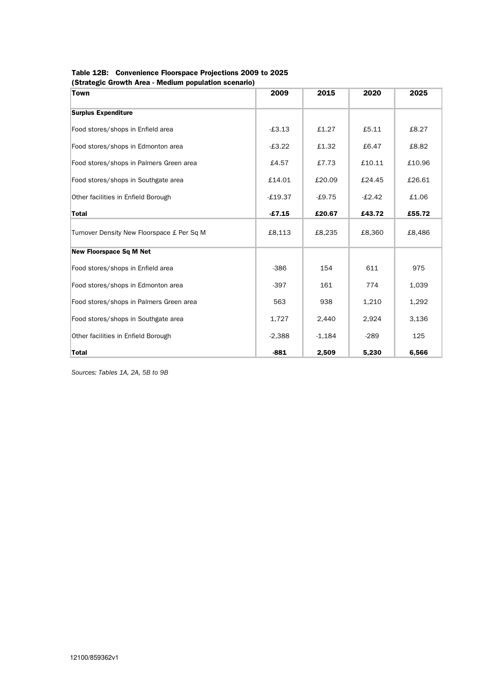| Table 12B: Convenience Floorspace Projections 2009 to 2025 |
|------------------------------------------------------------|
| (Strategic Growth Area - Medium population scenario)       |

| Town                                       | 2009      | 2015     | 2020     | 2025   |
|--------------------------------------------|-----------|----------|----------|--------|
| <b>Surplus Expenditure</b>                 |           |          |          |        |
| Food stores/shops in Enfield area          | $-£3.13$  | £1.27    | £5.11    | £8.27  |
| Food stores/shops in Edmonton area         | $-£3.22$  | £1.32    | £6.47    | £8.82  |
| Food stores/shops in Palmers Green area    | £4.57     | £7.73    | £10.11   | £10.96 |
| Food stores/shops in Southgate area        | £14.01    | £20.09   | £24.45   | £26.61 |
| Other facilities in Enfield Borough        | $-£19.37$ | $-£9.75$ | $-£2.42$ | £1.06  |
| <b>Total</b>                               | £7.15     | £20.67   | £43.72   | £55.72 |
| Turnover Density New Floorspace £ Per Sq M | £8,113    | £8,235   | £8,360   | £8,486 |
| <b>New Floorspace Sq M Net</b>             |           |          |          |        |
| Food stores/shops in Enfield area          | $-386$    | 154      | 611      | 975    |
| Food stores/shops in Edmonton area         | $-397$    | 161      | 774      | 1,039  |
| Food stores/shops in Palmers Green area    | 563       | 938      | 1,210    | 1,292  |
| Food stores/shops in Southgate area        | 1,727     | 2,440    | 2,924    | 3,136  |
| Other facilities in Enfield Borough        | $-2,388$  | $-1,184$ | $-289$   | 125    |
| <b>Total</b>                               | $-881$    | 2,509    | 5,230    | 6,566  |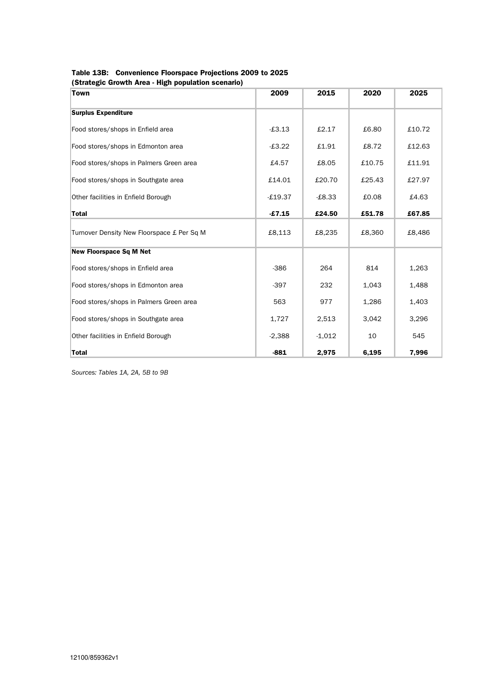| Table 13B: Convenience Floorspace Projections 2009 to 2025 |
|------------------------------------------------------------|
| (Strategic Growth Area - High population scenario)         |

| וסנומנטבוס ווסומעון וואיוויד וואיווידי של האימינוס וואס וואס<br><b>Town</b> | 2009      | 2015     | 2020   | 2025   |
|-----------------------------------------------------------------------------|-----------|----------|--------|--------|
| <b>Surplus Expenditure</b>                                                  |           |          |        |        |
| Food stores/shops in Enfield area                                           | $-£3.13$  | £2.17    | £6.80  | £10.72 |
| Food stores/shops in Edmonton area                                          | $-£3.22$  | £1.91    | £8.72  | £12.63 |
| Food stores/shops in Palmers Green area                                     | £4.57     | £8.05    | £10.75 | £11.91 |
| Food stores/shops in Southgate area                                         | £14.01    | £20.70   | £25.43 | £27.97 |
| Other facilities in Enfield Borough                                         | $-£19.37$ | $-£8.33$ | £0.08  | £4.63  |
| <b>Total</b>                                                                | $-£7.15$  | £24.50   | £51.78 | £67.85 |
| Turnover Density New Floorspace £ Per Sq M                                  | £8,113    | £8,235   | £8,360 | £8,486 |
| <b>New Floorspace Sq M Net</b>                                              |           |          |        |        |
| Food stores/shops in Enfield area                                           | $-386$    | 264      | 814    | 1,263  |
| Food stores/shops in Edmonton area                                          | $-397$    | 232      | 1,043  | 1,488  |
| Food stores/shops in Palmers Green area                                     | 563       | 977      | 1,286  | 1,403  |
| Food stores/shops in Southgate area                                         | 1,727     | 2,513    | 3,042  | 3,296  |
| Other facilities in Enfield Borough                                         | $-2,388$  | $-1,012$ | 10     | 545    |
| <b>Total</b>                                                                | $-881$    | 2,975    | 6,195  | 7,996  |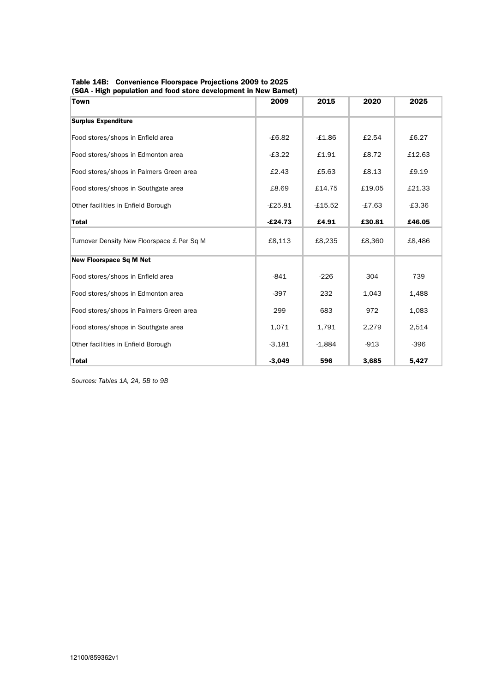Table 14B: Convenience Floorspace Projections 2009 to 2025 (SGA - High population and food store development in New Barnet)

| Town                                       | 2009      | 2015      | 2020     | 2025     |
|--------------------------------------------|-----------|-----------|----------|----------|
| <b>Surplus Expenditure</b>                 |           |           |          |          |
| Food stores/shops in Enfield area          | $-£6.82$  | $-£1.86$  | £2.54    | £6.27    |
| Food stores/shops in Edmonton area         | $-£3.22$  | £1.91     | £8.72    | £12.63   |
| Food stores/shops in Palmers Green area    | £2.43     | £5.63     | £8.13    | £9.19    |
| Food stores/shops in Southgate area        | £8.69     | £14.75    | £19.05   | £21.33   |
| Other facilities in Enfield Borough        | $-£25.81$ | $-£15.52$ | $-£7.63$ | $-£3.36$ |
| <b>Total</b>                               | $-£24.73$ | £4.91     | £30.81   | £46.05   |
| Turnover Density New Floorspace £ Per Sq M | £8,113    | £8,235    | £8,360   | £8,486   |
| <b>New Floorspace Sq M Net</b>             |           |           |          |          |
| Food stores/shops in Enfield area          | $-841$    | $-226$    | 304      | 739      |
| Food stores/shops in Edmonton area         | $-397$    | 232       | 1,043    | 1,488    |
| Food stores/shops in Palmers Green area    | 299       | 683       | 972      | 1,083    |
| Food stores/shops in Southgate area        | 1,071     | 1,791     | 2,279    | 2,514    |
| Other facilities in Enfield Borough        | $-3,181$  | $-1,884$  | $-913$   | $-396$   |
| <b>Total</b>                               | $-3,049$  | 596       | 3,685    | 5,427    |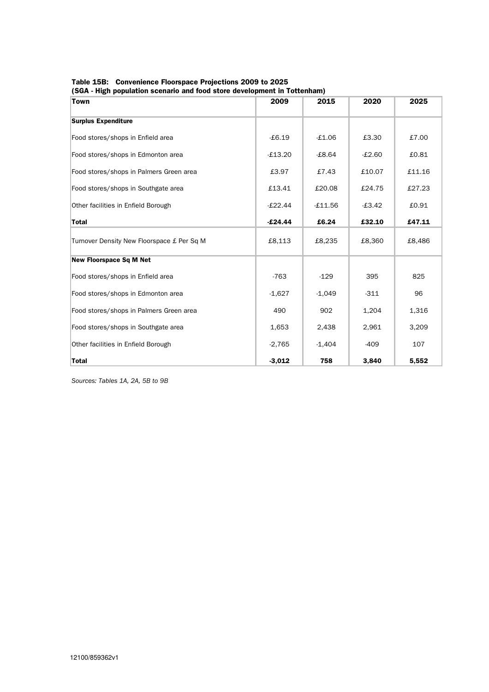Table 15B: Convenience Floorspace Projections 2009 to 2025 (SGA - High population scenario and food store development in Tottenham)

| Town                                       | 2009      | 2015      | 2020     | 2025   |
|--------------------------------------------|-----------|-----------|----------|--------|
| <b>Surplus Expenditure</b>                 |           |           |          |        |
| Food stores/shops in Enfield area          | $-E6.19$  | $-£1.06$  | £3.30    | £7.00  |
| Food stores/shops in Edmonton area         | $-£13.20$ | $-£8.64$  | $-£2.60$ | £0.81  |
| Food stores/shops in Palmers Green area    | £3.97     | £7.43     | £10.07   | £11.16 |
| Food stores/shops in Southgate area        | £13.41    | £20.08    | £24.75   | £27.23 |
| Other facilities in Enfield Borough        | $-E22.44$ | $-£11.56$ | $-£3.42$ | £0.91  |
| <b>Total</b>                               | $-£24.44$ | £6.24     | £32.10   | £47.11 |
| Turnover Density New Floorspace £ Per Sq M | £8,113    | £8,235    | £8,360   | £8,486 |
| <b>New Floorspace Sq M Net</b>             |           |           |          |        |
| Food stores/shops in Enfield area          | $-763$    | $-129$    | 395      | 825    |
| Food stores/shops in Edmonton area         | $-1,627$  | $-1,049$  | $-311$   | 96     |
| Food stores/shops in Palmers Green area    | 490       | 902       | 1,204    | 1,316  |
| Food stores/shops in Southgate area        | 1,653     | 2,438     | 2,961    | 3,209  |
| Other facilities in Enfield Borough        | $-2,765$  | $-1,404$  | $-409$   | 107    |
| <b>Total</b>                               | $-3,012$  | 758       | 3,840    | 5,552  |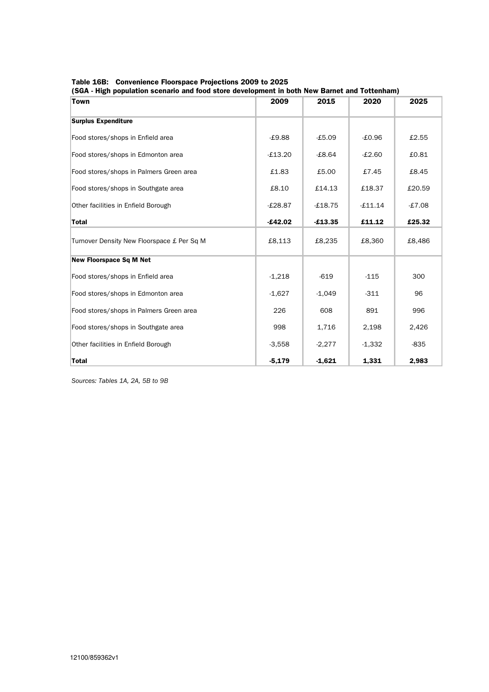Table 16B: Convenience Floorspace Projections 2009 to 2025

| <b>Town</b>                                | 2009      | 2015      | 2020      | 2025     |
|--------------------------------------------|-----------|-----------|-----------|----------|
| <b>Surplus Expenditure</b>                 |           |           |           |          |
| Food stores/shops in Enfield area          | $-£9.88$  | $-£5.09$  | $-£0.96$  | £2.55    |
| Food stores/shops in Edmonton area         | $-£13.20$ | $-£8.64$  | $-£2.60$  | £0.81    |
| Food stores/shops in Palmers Green area    | £1.83     | £5.00     | £7.45     | £8.45    |
| Food stores/shops in Southgate area        | £8.10     | £14.13    | £18.37    | £20.59   |
| Other facilities in Enfield Borough        | $-£28.87$ | $-£18.75$ | $-£11.14$ | $-£7.08$ |
| <b>Total</b>                               | $-£42.02$ | $-£13.35$ | £11.12    | £25.32   |
| Turnover Density New Floorspace £ Per Sq M | £8,113    | £8,235    | £8,360    | £8,486   |
| <b>New Floorspace Sq M Net</b>             |           |           |           |          |
| Food stores/shops in Enfield area          | $-1,218$  | $-619$    | $-115$    | 300      |
| Food stores/shops in Edmonton area         | $-1,627$  | $-1,049$  | $-311$    | 96       |
| Food stores/shops in Palmers Green area    | 226       | 608       | 891       | 996      |
| Food stores/shops in Southgate area        | 998       | 1,716     | 2,198     | 2,426    |
| Other facilities in Enfield Borough        | $-3,558$  | $-2,277$  | $-1,332$  | $-835$   |
| <b>Total</b>                               | $-5,179$  | $-1,621$  | 1,331     | 2,983    |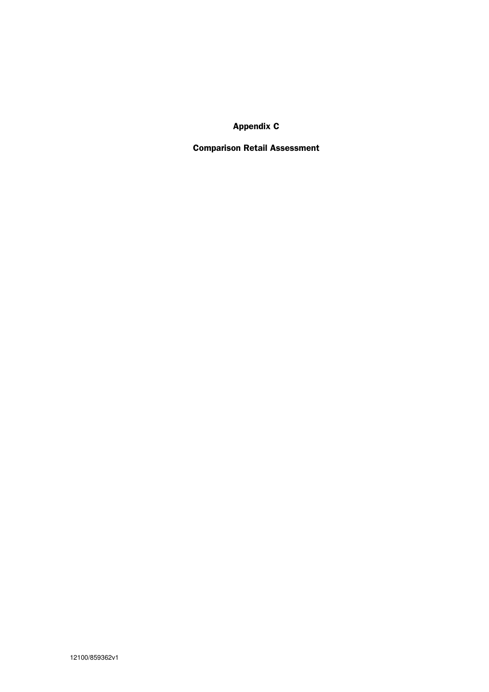Appendix C

Comparison Retail Assessment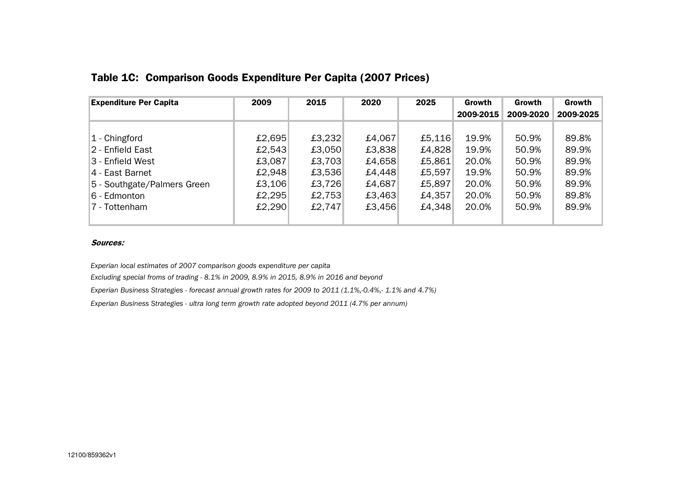| <b>Expenditure Per Capita</b> | 2009   | 2015   | 2020   | 2025   | Growth    | Growth    | Growth    |
|-------------------------------|--------|--------|--------|--------|-----------|-----------|-----------|
|                               |        |        |        |        | 2009-2015 | 2009-2020 | 2009-2025 |
|                               |        |        |        |        |           |           |           |
| $ 1 -$ Chingford              | £2,695 | £3,232 | £4,067 | £5,116 | 19.9%     | 50.9%     | 89.8%     |
| 2 - Enfield East              | £2,543 | £3,050 | £3,838 | £4,828 | 19.9%     | 50.9%     | 89.9%     |
| 3 - Enfield West              | £3,087 | £3,703 | £4,658 | £5,861 | 20.0%     | 50.9%     | 89.9%     |
| 4 - East Barnet               | £2,948 | £3,536 | £4,448 | £5,597 | 19.9%     | 50.9%     | 89.9%     |
| 5 - Southgate/Palmers Green   | £3,106 | £3,726 | £4,687 | £5,897 | 20.0%     | 50.9%     | 89.9%     |
| 6 - Edmonton                  | £2,295 | £2,753 | £3,463 | £4,357 | 20.0%     | 50.9%     | 89.8%     |
| 7 - Tottenham                 | £2,290 | £2,747 | £3,456 | £4,348 | 20.0%     | 50.9%     | 89.9%     |
|                               |        |        |        |        |           |           |           |

## Table 1C: Comparison Goods Expenditure Per Capita (2007 Prices)

#### Sources:

Experian local estimates of 2007 comparison goods expenditure per capita

Excluding special froms of trading - 8.1% in 2009, 8.9% in 2015, 8.9% in 2016 and beyond

Experian Business Strategies - forecast annual growth rates for 2009 to 2011 (1.1%,-0.4%,- 1.1% and 4.7%)

Experian Business Strategies - ultra long term growth rate adopted beyond 2011 (4.7% per annum)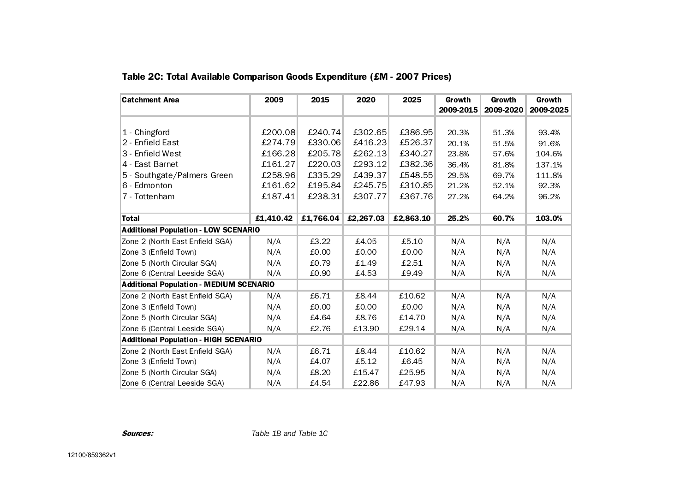| <b>Catchment Area</b>                          | 2009      | 2015      | 2020      | 2025      | Growth    | Growth    | Growth    |
|------------------------------------------------|-----------|-----------|-----------|-----------|-----------|-----------|-----------|
|                                                |           |           |           |           | 2009-2015 | 2009-2020 | 2009-2025 |
|                                                |           |           |           |           |           |           |           |
| 1 - Chingford                                  | £200.08   | £240.74   | £302.65   | £386.95   | 20.3%     | 51.3%     | 93.4%     |
| 2 - Enfield East                               | £274.79   | £330.06   | £416.23   | £526.37   | 20.1%     | 51.5%     | 91.6%     |
| 3 - Enfield West                               | £166.28   | £205.78   | £262.13   | £340.27   | 23.8%     | 57.6%     | 104.6%    |
| 4 - East Barnet                                | £161.27   | £220.03   | £293.12   | £382.36   | 36.4%     | 81.8%     | 137.1%    |
| 5 - Southgate/Palmers Green                    | £258.96   | £335.29   | £439.37   | £548.55   | 29.5%     | 69.7%     | 111.8%    |
| 6 - Edmonton                                   | £161.62   | £195.84   | £245.75   | £310.85   | 21.2%     | 52.1%     | 92.3%     |
| 7 - Tottenham                                  | £187.41   | £238.31   | £307.77   | £367.76   | 27.2%     | 64.2%     | 96.2%     |
|                                                |           |           |           |           |           |           |           |
| Total                                          | £1,410.42 | £1,766.04 | £2,267.03 | £2,863.10 | 25.2%     | 60.7%     | 103.0%    |
| <b>Additional Population - LOW SCENARIO</b>    |           |           |           |           |           |           |           |
| Zone 2 (North East Enfield SGA)                | N/A       | £3.22     | £4.05     | £5.10     | N/A       | N/A       | N/A       |
| Zone 3 (Enfield Town)                          | N/A       | £0.00     | £0.00     | 0.00      | N/A       | N/A       | N/A       |
| Zone 5 (North Circular SGA)                    | N/A       | £0.79     | £1.49     | £2.51     | N/A       | N/A       | N/A       |
| Zone 6 (Central Leeside SGA)                   | N/A       | £0.90     | £4.53     | £9.49     | N/A       | N/A       | N/A       |
| <b>Additional Population - MEDIUM SCENARIO</b> |           |           |           |           |           |           |           |
| Zone 2 (North East Enfield SGA)                | N/A       | £6.71     | £8.44     | £10.62    | N/A       | N/A       | N/A       |
| Zone 3 (Enfield Town)                          | N/A       | £0.00     | £0.00     | £0.00     | N/A       | N/A       | N/A       |
| Zone 5 (North Circular SGA)                    | N/A       | £4.64     | £8.76     | £14.70    | N/A       | N/A       | N/A       |
| Zone 6 (Central Leeside SGA)                   | N/A       | £2.76     | £13.90    | £29.14    | N/A       | N/A       | N/A       |
| <b>Additional Population - HIGH SCENARIO</b>   |           |           |           |           |           |           |           |
| Zone 2 (North East Enfield SGA)                | N/A       | £6.71     | £8.44     | £10.62    | N/A       | N/A       | N/A       |
| Zone 3 (Enfield Town)                          | N/A       | £4.07     | £5.12     | £6.45     | N/A       | N/A       | N/A       |
| Zone 5 (North Circular SGA)                    | N/A       | £8.20     | £15.47    | £25.95    | N/A       | N/A       | N/A       |
| Zone 6 (Central Leeside SGA)                   | N/A       | £4.54     | £22.86    | £47.93    | N/A       | N/A       | N/A       |

## Table 2C: Total Available Comparison Goods Expenditure (£M - 2007 Prices)

Sources: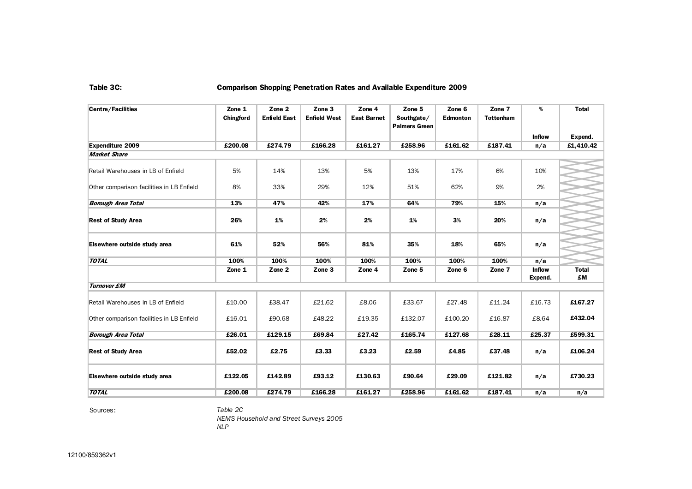#### Table 3C: Comparison Shopping Penetration Rates and Available Expenditure 2009

| Centre/Facilities                              | Zone 1<br>Chingford | Zone 2<br><b>Enfield East</b> | Zone 3<br><b>Enfield West</b> | Zone 4<br><b>East Barnet</b> | Zone 5<br>Southgate/ | Zone 6<br><b>Edmonton</b> | Zone 7<br><b>Tottenham</b> | %                        | <b>Total</b>       |
|------------------------------------------------|---------------------|-------------------------------|-------------------------------|------------------------------|----------------------|---------------------------|----------------------------|--------------------------|--------------------|
|                                                |                     |                               |                               |                              | <b>Palmers Green</b> |                           |                            |                          |                    |
|                                                |                     |                               |                               |                              |                      |                           |                            | <b>Inflow</b>            | Expend.            |
| <b>Expenditure 2009</b><br><b>Market Share</b> | £200.08             | £274.79                       | £166.28                       | £161.27                      | £258.96              | £161.62                   | £187.41                    | n/a                      | £1,410.42          |
|                                                |                     |                               |                               |                              |                      |                           |                            |                          |                    |
| Retail Warehouses in LB of Enfield             | 5%                  | 14%                           | 13%                           | 5%                           | 13%                  | 17%                       | 6%                         | 10%                      |                    |
| Other comparison facilities in LB Enfield      | 8%                  | 33%                           | 29%                           | 12%                          | 51%                  | 62%                       | 9%                         | 2%                       |                    |
| <b>Borough Area Total</b>                      | 13%                 | 47%                           | 42%                           | 17%                          | 64%                  | 79%                       | 15%                        | n/a                      |                    |
| <b>Rest of Study Area</b>                      | 26%                 | 1%                            | 2%                            | 2%                           | 1%                   | 3%                        | 20%                        | n/a                      |                    |
| Elsewhere outside study area                   | 61%                 | 52%                           | 56%                           | 81%                          | 35%                  | 18%                       | 65%                        | n/a                      |                    |
| <b>TOTAL</b>                                   | 100%                | 100%                          | 100%                          | 100%                         | 100%                 | 100%                      | 100%                       | n/a                      |                    |
|                                                | Zone 1              | Zone 2                        | Zone 3                        | Zone 4                       | Zone 5               | Zone 6                    | Zone 7                     | <b>Inflow</b><br>Expend. | <b>Total</b><br>£M |
| <b>Turnover £M</b>                             |                     |                               |                               |                              |                      |                           |                            |                          |                    |
| Retail Warehouses in LB of Enfield             | £10.00              | £38.47                        | £21.62                        | £8.06                        | £33.67               | £27.48                    | £11.24                     | £16.73                   | £167.27            |
| Other comparison facilities in LB Enfield      | £16.01              | £90.68                        | £48.22                        | £19.35                       | £132.07              | £100.20                   | £16.87                     | £8.64                    | £432.04            |
| <b>Borough Area Total</b>                      | £26.01              | £129.15                       | £69.84                        | £27.42                       | £165.74              | £127.68                   | £28.11                     | £25.37                   | £599.31            |
| <b>Rest of Study Area</b>                      | £52.02              | £2.75                         | £3.33                         | £3.23                        | £2.59                | £4.85                     | £37.48                     | n/a                      | £106.24            |
| Elsewhere outside study area                   | £122.05             | £142.89                       | £93.12                        | £130.63                      | £90.64               | £29.09                    | £121.82                    | n/a                      | £730.23            |
| <b>TOTAL</b>                                   | £200.08             | £274.79                       | £166.28                       | £161.27                      | £258.96              | £161.62                   | £187.41                    | n/a                      | n/a                |

Sources:

 Table 2C NEMS Household and Street Surveys 2005NLP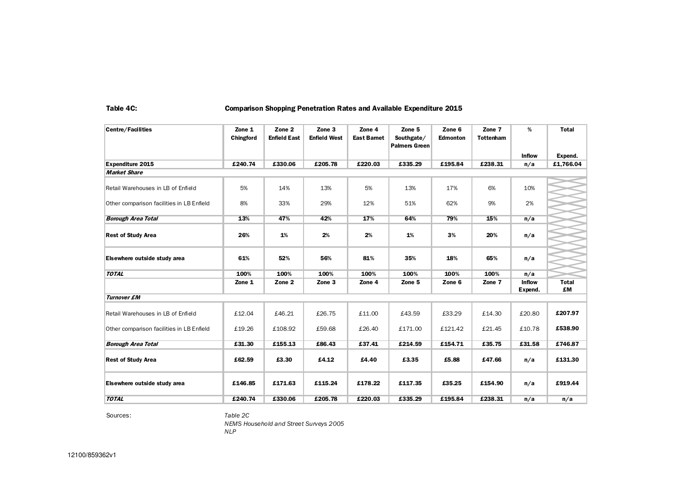#### Table 4C: Comparison Shopping Penetration Rates and Available Expenditure 2015

| <b>Centre/Facilities</b>                  | Zone 1<br>Chingford | Zone 2<br><b>Enfield East</b> | Zone 3<br><b>Enfield West</b> | Zone 4<br><b>East Bamet</b> | Zone 5<br>Southgate/<br>Palmers Green | Zone 6<br><b>Edmonton</b> | Zone 7<br><b>Tottenham</b> | %                        | <b>Total</b>       |
|-------------------------------------------|---------------------|-------------------------------|-------------------------------|-----------------------------|---------------------------------------|---------------------------|----------------------------|--------------------------|--------------------|
|                                           |                     |                               |                               |                             |                                       |                           |                            | <b>Inflow</b>            | Expend.            |
| Expenditure 2015                          | £240.74             | £330.06                       | £205.78                       | £220.03                     | £335.29                               | £195.84                   | £238.31                    | n/a                      | £1,766.04          |
| <b>Market Share</b>                       |                     |                               |                               |                             |                                       |                           |                            |                          |                    |
| Retail Warehouses in LB of Enfield        | 5%                  | 14%                           | 13%                           | 5%                          | 13%                                   | 17%                       | 6%                         | 10%                      |                    |
| Other comparison facilities in LB Enfield | 8%                  | 33%                           | 29%                           | 12%                         | 51%                                   | 62%                       | 9%                         | 2%                       |                    |
| <b>Borough Area Total</b>                 | 13%                 | 47%                           | 42%                           | 17%                         | 64%                                   | 79%                       | 15%                        | n/a                      |                    |
| <b>Rest of Study Area</b>                 | 26%                 | 1%                            | 2%                            | 2%                          | 1%                                    | 3%                        | 20%                        | n/a                      |                    |
| Elsewhere outside study area              | 61%                 | 52%                           | 56%                           | 81%                         | 35%                                   | 18%                       | 65%                        | n/a                      |                    |
| <b>TOTAL</b>                              | 100%                | 100%                          | 100%                          | 100%                        | 100%                                  | 100%                      | 100%                       | n/a                      |                    |
|                                           | Zone 1              | Zone 2                        | Zone <sub>3</sub>             | Zone 4                      | Zone 5                                | Zone 6                    | Zone 7                     | <b>Inflow</b><br>Expend. | <b>Total</b><br>£M |
| <b>Turnover £M</b>                        |                     |                               |                               |                             |                                       |                           |                            |                          |                    |
| Retail Warehouses in LB of Enfield        | £12.04              | £46.21                        | £26.75                        | £11.00                      | £43.59                                | £33.29                    | £14.30                     | £20.80                   | £207.97            |
| Other comparison facilities in LB Enfield | £19.26              | £108.92                       | £59.68                        | £26.40                      | £171.00                               | £121.42                   | £21.45                     | £10.78                   | £538.90            |
| <b>Borough Area Total</b>                 | £31.30              | £155.13                       | £86.43                        | £37.41                      | £214.59                               | £154.71                   | £35.75                     | £31.58                   | £746.87            |
| <b>Rest of Study Area</b>                 | £62.59              | £3.30                         | £4.12                         | £4.40                       | £3.35                                 | £5.88                     | £47.66                     | n/a                      | £131.30            |
| Elsewhere outside study area              | £146.85             | £171.63                       | £115.24                       | £178.22                     | £117.35                               | £35.25                    | £154.90                    | n/a                      | £919.44            |
| <b>TOTAL</b>                              | £240.74             | £330.06                       | £205.78                       | £220.03                     | £335.29                               | £195.84                   | £238.31                    | n/a                      | n/a                |

Sources:

 Table 2C NEMS Household and Street Surveys 2005NLP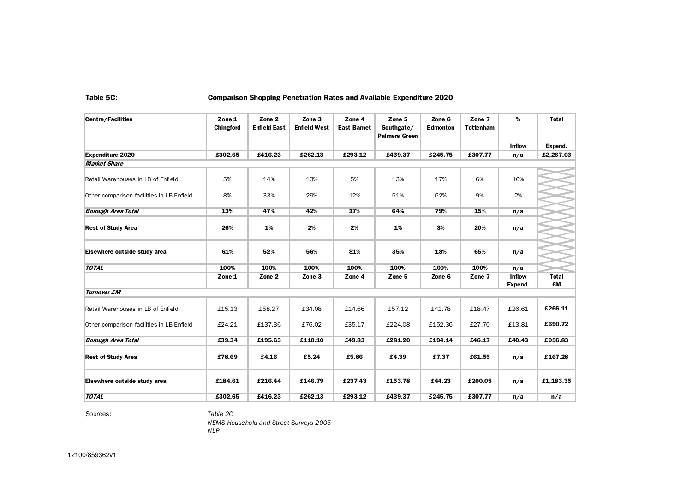#### Table 5C: Comparison Shopping Penetration Rates and Available Expenditure 2020

| <b>Centre/Facilities</b>                  | Zone 1<br>Chingford | Zone 2<br><b>Enfield East</b> | Zone 3<br><b>Enfield West</b> | Zone 4<br><b>East Barnet</b> | Zone 5<br>Southgate/<br><b>Palmers Green</b> | Zone 6<br><b>Edmonton</b> | Zone 7<br><b>Tottenham</b> | %                        | <b>Total</b>       |
|-------------------------------------------|---------------------|-------------------------------|-------------------------------|------------------------------|----------------------------------------------|---------------------------|----------------------------|--------------------------|--------------------|
|                                           |                     |                               |                               |                              |                                              |                           |                            | <b>Inflow</b>            | Expend.            |
| <b>Expenditure 2020</b>                   | £302.65             | £416.23                       | £262.13                       | £293.12                      | £439.37                                      | £245.75                   | £307.77                    | n/a                      | £2,267.03          |
| <b>Market Share</b>                       |                     |                               |                               |                              |                                              |                           |                            |                          |                    |
| Retail Warehouses in LB of Enfield        | 5%                  | 14%                           | 13%                           | 5%                           | 13%                                          | 17%                       | 6%                         | 10%                      |                    |
| Other comparison facilities in LB Enfield | 8%                  | 33%                           | 29%                           | 12%                          | 51%                                          | 62%                       | 9%                         | 2%                       |                    |
| <b>Borough Area Total</b>                 | 13%                 | 47%                           | 42%                           | 17%                          | 64%                                          | 79%                       | 15%                        | n/a                      |                    |
| <b>Rest of Study Area</b>                 | 26%                 | 1%                            | 2%                            | 2%                           | 1%                                           | 3%                        | 20%                        | n/a                      |                    |
| Elsewhere outside study area              | 61%                 | 52%                           | 56%                           | 81%                          | 35%                                          | 18%                       | 65%                        | n/a                      |                    |
| <b>TOTAL</b>                              | 100%                | 100%                          | 100%                          | 100%                         | 100%                                         | 100%                      | 100%                       | n/a                      |                    |
|                                           | Zone 1              | Zone 2                        | Zone 3                        | Zone 4                       | Zone 5                                       | Zone 6                    | Zone 7                     | <b>Inflow</b><br>Expend. | <b>Total</b><br>£M |
| <b>Turnover £M</b>                        |                     |                               |                               |                              |                                              |                           |                            |                          |                    |
| Retail Warehouses in LB of Enfield        | £15.13              | £58.27                        | £34.08                        | £14.66                       | £57.12                                       | £41.78                    | £18.47                     | £26.61                   | £266.11            |
| Other comparison facilities in LB Enfield | £24.21              | £137.36                       | £76.02                        | £35.17                       | £224.08                                      | £152.36                   | £27.70                     | £13.81                   | £690.72            |
| <b>Borough Area Total</b>                 | £39.34              | £195.63                       | £110.10                       | £49.83                       | £281.20                                      | £194.14                   | £46.17                     | £40.43                   | £956.83            |
| <b>Rest of Study Area</b>                 | £78.69              | £4.16                         | £5.24                         | £5.86                        | £4.39                                        | £7.37                     | £61.55                     | n/a                      | £167.28            |
| Elsewhere outside study area              | £184.61             | £216.44                       | £146.79                       | £237.43                      | £153.78                                      | £44.23                    | £200.05                    | n/a                      | £1,183.35          |
| <b>TOTAL</b>                              | £302.65             | £416.23                       | £262.13                       | £293.12                      | £439.37                                      | £245.75                   | £307.77                    | n/a                      | n/a                |

Sources:

 Table 2CNEMS Household and Street Surveys 2005

NLP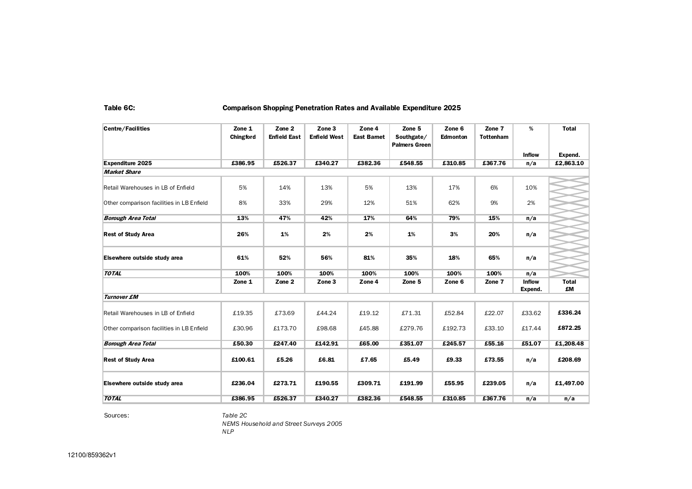#### Table 6C: Comparison Shopping Penetration Rates and Available Expenditure 2025

| <b>Centre/Facilities</b>                  | Zone 1<br>Chingford | Zone 2<br><b>Enfield East</b> | Zone 3<br><b>Enfield West</b> | Zone 4<br><b>East Barnet</b> | Zone 5<br>Southgate/<br><b>Palmers Green</b> | Zone 6<br><b>Edmonton</b> | Zone 7<br><b>Tottenham</b> | %                        | <b>Total</b>       |
|-------------------------------------------|---------------------|-------------------------------|-------------------------------|------------------------------|----------------------------------------------|---------------------------|----------------------------|--------------------------|--------------------|
|                                           |                     |                               |                               |                              |                                              |                           |                            | <b>Inflow</b>            | Expend.            |
| <b>Expenditure 2025</b>                   | £386.95             | £526.37                       | £340.27                       | £382.36                      | £548.55                                      | £310.85                   | £367.76                    | n/a                      | £2,863.10          |
| <b>Market Share</b>                       |                     |                               |                               |                              |                                              |                           |                            |                          |                    |
| Retail Warehouses in LB of Enfield        | 5%                  | 14%                           | 13%                           | 5%                           | 13%                                          | 17%                       | 6%                         | 10%                      |                    |
| Other comparison facilities in LB Enfield | 8%                  | 33%                           | 29%                           | 12%                          | 51%                                          | 62%                       | 9%                         | 2%                       |                    |
| <b>Borough Area Total</b>                 | 13%                 | 47%                           | 42%                           | 17%                          | 64%                                          | 79%                       | 15%                        | n/a                      |                    |
| <b>Rest of Study Area</b>                 | 26%                 | 1%                            | 2%                            | 2%                           | 1%                                           | 3%                        | 20%                        | n/a                      |                    |
| Elsewhere outside study area              | 61%                 | 52%                           | 56%                           | 81%                          | 35%                                          | 18%                       | 65%                        | n/a                      |                    |
| <b>TOTAL</b>                              | 100%                | 100%                          | 100%                          | 100%                         | 100%                                         | 100%                      | 100%                       | n/a                      |                    |
|                                           | Zone 1              | Zone 2                        | Zone 3                        | Zone 4                       | Zone 5                                       | Zone 6                    | Zone 7                     | <b>Inflow</b><br>Expend. | <b>Total</b><br>£M |
| <b>Turnover £M</b>                        |                     |                               |                               |                              |                                              |                           |                            |                          |                    |
| Retail Warehouses in LB of Enfield        | £19.35              | £73.69                        | £44.24                        | £19.12                       | £71.31                                       | £52.84                    | £22.07                     | £33.62                   | £336.24            |
| Other comparison facilities in LB Enfield | £30.96              | £173.70                       | £98.68                        | £45.88                       | £279.76                                      | £192.73                   | £33.10                     | £17.44                   | £872.25            |
| <b>Borough Area Total</b>                 | £50.30              | £247.40                       | £142.91                       | £65.00                       | £351.07                                      | £245.57                   | £55.16                     | £51.07                   | £1,208.48          |
| <b>Rest of Study Area</b>                 | £100.61             | £5.26                         | £6.81                         | £7.65                        | £5.49                                        | £9.33                     | £73.55                     | n/a                      | £208.69            |
| Elsewhere outside study area              | £236.04             | £273.71                       | £190.55                       | £309.71                      | £191.99                                      | £55.95                    | £239.05                    | n/a                      | £1,497.00          |
| <b>TOTAL</b>                              | £386.95             | £526.37                       | £340.27                       | £382.36                      | £548.55                                      | £310.85                   | £367.76                    | n/a                      | n/a                |

Sources:

 Table 2C NEMS Household and Street Surveys 2005NLP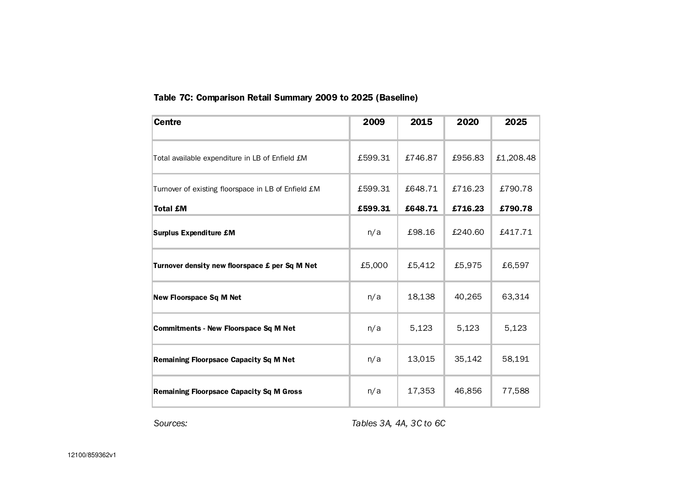## Table 7C: Comparison Retail Summary 2009 to 2025 (Baseline)

| <b>Centre</b>                                       | 2009    | 2015    | 2020    | 2025      |
|-----------------------------------------------------|---------|---------|---------|-----------|
| Total available expenditure in LB of Enfield £M     | £599.31 | £746.87 | £956.83 | £1,208.48 |
| Turnover of existing floorspace in LB of Enfield £M | £599.31 | £648.71 | £716.23 | £790.78   |
| <b>Total £M</b>                                     | £599.31 | £648.71 | £716.23 | £790.78   |
| <b>Surplus Expenditure £M</b>                       | n/a     | £98.16  | £240.60 | £417.71   |
| Turnover density new floorspace £ per Sq M Net      | £5,000  | £5,412  | £5,975  | £6,597    |
| <b>New Floorspace Sq M Net</b>                      | n/a     | 18,138  | 40,265  | 63,314    |
| <b>Commitments - New Floorspace Sq M Net</b>        | n/a     | 5,123   | 5,123   | 5,123     |
| <b>Remaining Floorpsace Capacity Sq M Net</b>       | n/a     | 13,015  | 35,142  | 58,191    |
| <b>Remaining Floorpsace Capacity Sq M Gross</b>     | n/a     | 17,353  | 46,856  | 77,588    |

Sources: Tables 3A, 4A, 3C to 6C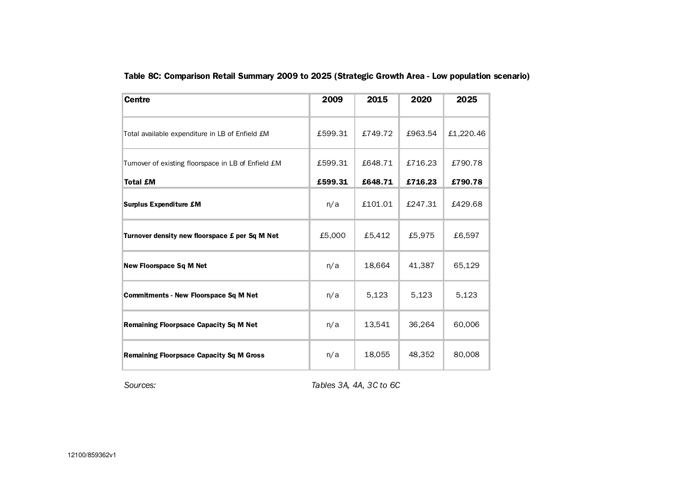| <b>Centre</b>                                       | 2009    | 2015    | 2020    | 2025      |
|-----------------------------------------------------|---------|---------|---------|-----------|
| Total available expenditure in LB of Enfield £M     | £599.31 | £749.72 | £963.54 | £1,220.46 |
| Turnover of existing floorspace in LB of Enfield £M | £599.31 | £648.71 | £716.23 | £790.78   |
| <b>Total £M</b>                                     | £599.31 | £648.71 | £716.23 | £790.78   |
| <b>Surplus Expenditure £M</b>                       | n/a     | £101.01 | £247.31 | £429.68   |
| Turnover density new floorspace £ per Sq M Net      | £5,000  | £5,412  | £5,975  | £6,597    |
| <b>New Floorspace Sq M Net</b>                      | n/a     | 18,664  | 41,387  | 65,129    |
| <b>Commitments - New Floorspace Sq M Net</b>        | n/a     | 5,123   | 5,123   | 5,123     |
| <b>Remaining Floorpsace Capacity Sq M Net</b>       | n/a     | 13,541  | 36,264  | 60,006    |
| <b>Remaining Floorpsace Capacity Sq M Gross</b>     | n/a     | 18,055  | 48,352  | 80,008    |

Table 8C: Comparison Retail Summary 2009 to 2025 (Strategic Growth Area - Low population scenario)

Sources: Tables 3A, 4A, 3C to 6C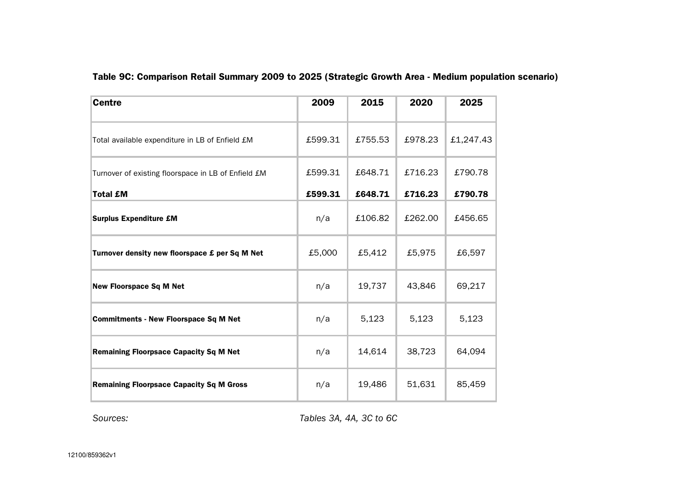| <b>Centre</b>                                       | 2009    | 2015    | 2020    | 2025      |
|-----------------------------------------------------|---------|---------|---------|-----------|
| Total available expenditure in LB of Enfield £M     | £599.31 | £755.53 | £978.23 | £1,247.43 |
| Turnover of existing floorspace in LB of Enfield £M | £599.31 | £648.71 | £716.23 | £790.78   |
| <b>Total £M</b>                                     | £599.31 | £648.71 | £716.23 | £790.78   |
| <b>Surplus Expenditure £M</b>                       | n/a     | £106.82 | £262.00 | £456.65   |
| Turnover density new floorspace £ per Sq M Net      | £5,000  | £5,412  | £5,975  | £6,597    |
| <b>New Floorspace Sq M Net</b>                      | n/a     | 19,737  | 43,846  | 69,217    |
| <b>Commitments - New Floorspace Sq M Net</b>        | n/a     | 5,123   | 5,123   | 5,123     |
| <b>Remaining Floorpsace Capacity Sq M Net</b>       | n/a     | 14,614  | 38,723  | 64,094    |
| <b>Remaining Floorpsace Capacity Sq M Gross</b>     | n/a     | 19,486  | 51,631  | 85,459    |

## Table 9C: Comparison Retail Summary 2009 to 2025 (Strategic Growth Area - Medium population scenario)

Sources: Sources: Tables 3A, 4A, 3C to 6C